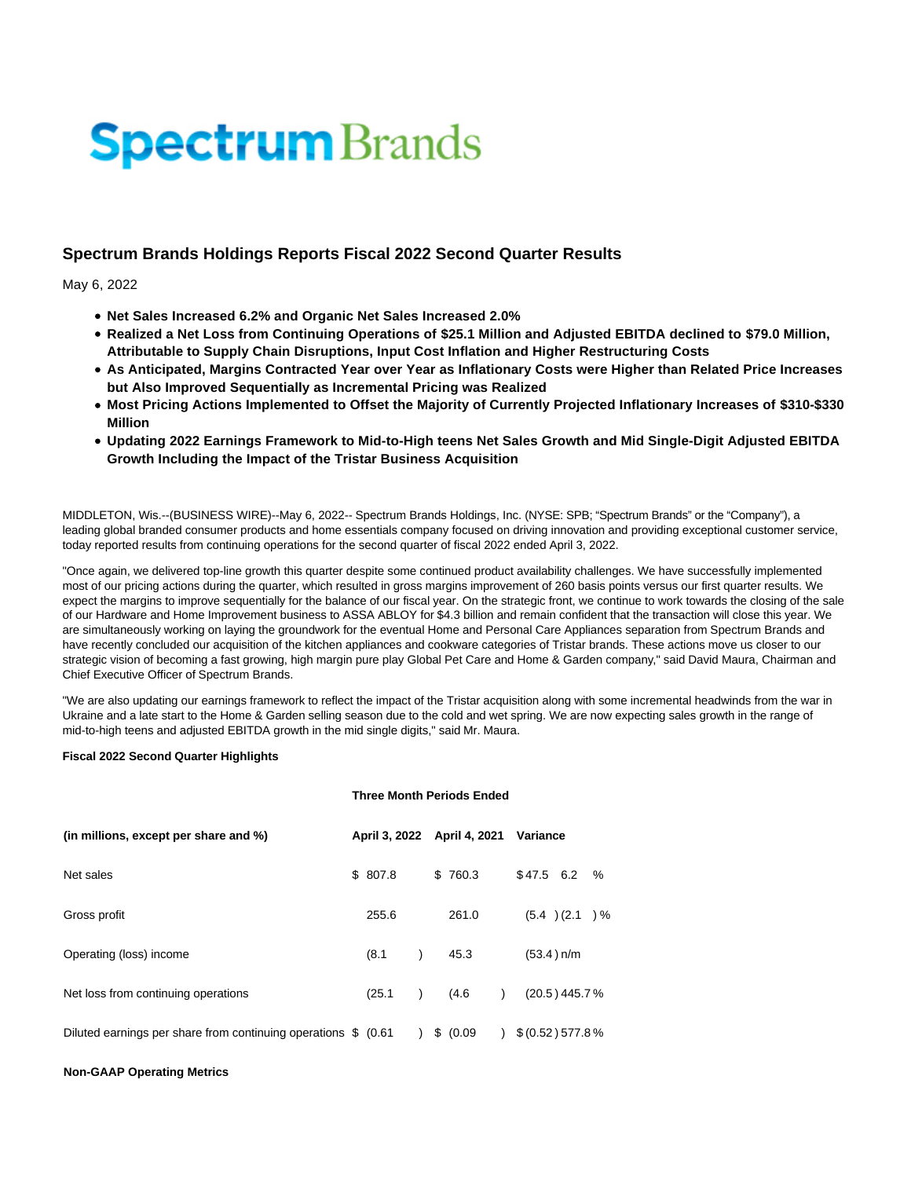# **Spectrum** Brands

# **Spectrum Brands Holdings Reports Fiscal 2022 Second Quarter Results**

May 6, 2022

- **Net Sales Increased 6.2% and Organic Net Sales Increased 2.0%**
- **Realized a Net Loss from Continuing Operations of \$25.1 Million and Adjusted EBITDA declined to \$79.0 Million, Attributable to Supply Chain Disruptions, Input Cost Inflation and Higher Restructuring Costs**
- **As Anticipated, Margins Contracted Year over Year as Inflationary Costs were Higher than Related Price Increases but Also Improved Sequentially as Incremental Pricing was Realized**
- **Most Pricing Actions Implemented to Offset the Majority of Currently Projected Inflationary Increases of \$310-\$330 Million**
- **Updating 2022 Earnings Framework to Mid-to-High teens Net Sales Growth and Mid Single-Digit Adjusted EBITDA Growth Including the Impact of the Tristar Business Acquisition**

MIDDLETON, Wis.--(BUSINESS WIRE)--May 6, 2022-- Spectrum Brands Holdings, Inc. (NYSE: SPB; "Spectrum Brands" or the "Company"), a leading global branded consumer products and home essentials company focused on driving innovation and providing exceptional customer service, today reported results from continuing operations for the second quarter of fiscal 2022 ended April 3, 2022.

"Once again, we delivered top-line growth this quarter despite some continued product availability challenges. We have successfully implemented most of our pricing actions during the quarter, which resulted in gross margins improvement of 260 basis points versus our first quarter results. We expect the margins to improve sequentially for the balance of our fiscal year. On the strategic front, we continue to work towards the closing of the sale of our Hardware and Home Improvement business to ASSA ABLOY for \$4.3 billion and remain confident that the transaction will close this year. We are simultaneously working on laying the groundwork for the eventual Home and Personal Care Appliances separation from Spectrum Brands and have recently concluded our acquisition of the kitchen appliances and cookware categories of Tristar brands. These actions move us closer to our strategic vision of becoming a fast growing, high margin pure play Global Pet Care and Home & Garden company," said David Maura, Chairman and Chief Executive Officer of Spectrum Brands.

"We are also updating our earnings framework to reflect the impact of the Tristar acquisition along with some incremental headwinds from the war in Ukraine and a late start to the Home & Garden selling season due to the cold and wet spring. We are now expecting sales growth in the range of mid-to-high teens and adjusted EBITDA growth in the mid single digits," said Mr. Maura.

## **Fiscal 2022 Second Quarter Highlights**

# **Three Month Periods Ended**

| (in millions, except per share and %)                           |         |               | April 3, 2022 April 4, 2021 | Variance          |  |
|-----------------------------------------------------------------|---------|---------------|-----------------------------|-------------------|--|
| Net sales                                                       | \$807.8 |               | \$760.3                     | $$47.5$ 6.2 %     |  |
| Gross profit                                                    | 255.6   |               | 261.0                       | $(5.4)(2.1)$ %    |  |
| Operating (loss) income                                         | (8.1)   | $\rightarrow$ | 45.3                        | (53.4) n/m        |  |
| Net loss from continuing operations                             | (25.1)  | $\lambda$     | (4.6                        | $(20.5)$ 445.7%   |  |
| Diluted earnings per share from continuing operations \$ (0.61) |         |               | \$ (0.09)                   | \$ (0.52) 577.8 % |  |

## **Non-GAAP Operating Metrics**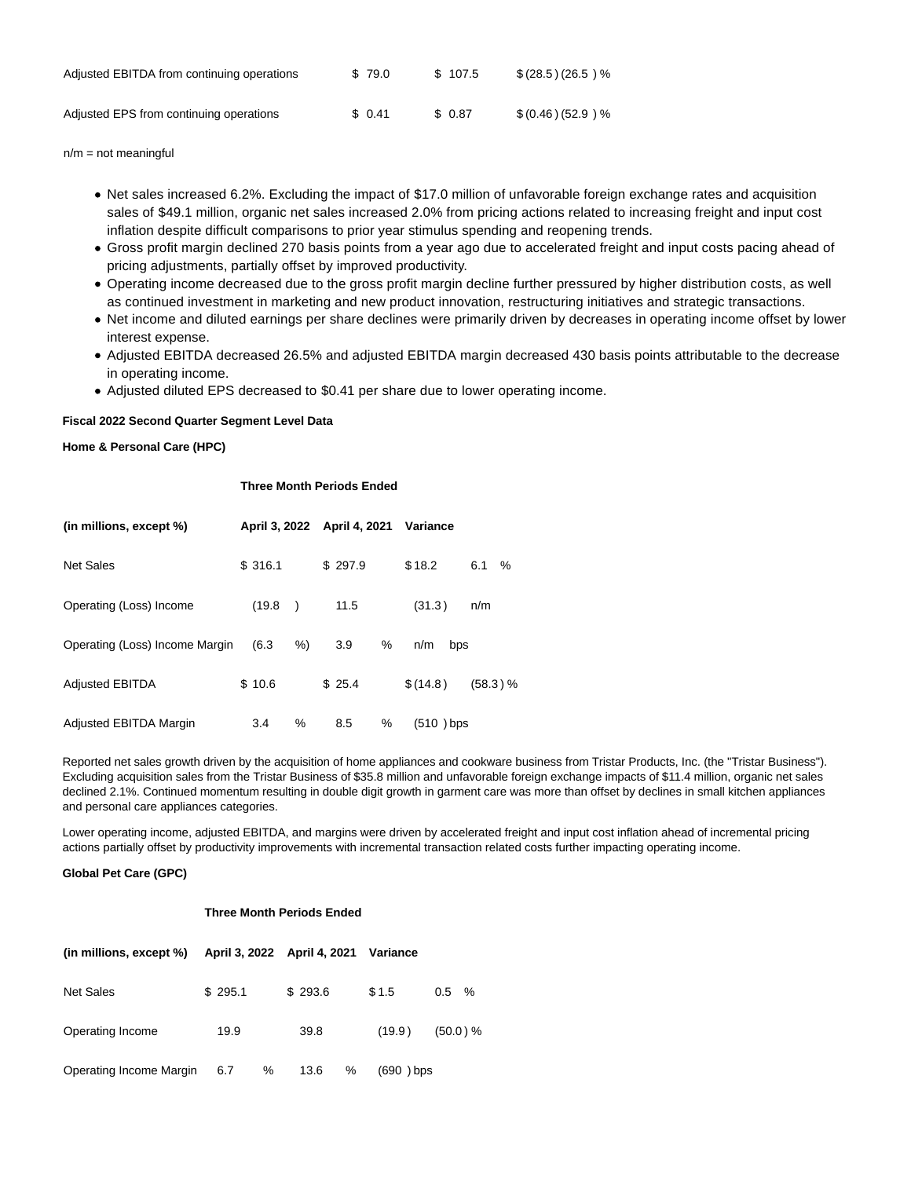| Adjusted EBITDA from continuing operations | \$79.0  | \$107.5 | \$ (28.5) (26.5) % |
|--------------------------------------------|---------|---------|--------------------|
| Adjusted EPS from continuing operations    | \$ 0.41 | \$ 0.87 | \$ (0.46) (52.9) % |

 $n/m = not meaningful$ 

- Net sales increased 6.2%. Excluding the impact of \$17.0 million of unfavorable foreign exchange rates and acquisition sales of \$49.1 million, organic net sales increased 2.0% from pricing actions related to increasing freight and input cost inflation despite difficult comparisons to prior year stimulus spending and reopening trends.
- Gross profit margin declined 270 basis points from a year ago due to accelerated freight and input costs pacing ahead of pricing adjustments, partially offset by improved productivity.
- Operating income decreased due to the gross profit margin decline further pressured by higher distribution costs, as well as continued investment in marketing and new product innovation, restructuring initiatives and strategic transactions.
- Net income and diluted earnings per share declines were primarily driven by decreases in operating income offset by lower interest expense.
- Adjusted EBITDA decreased 26.5% and adjusted EBITDA margin decreased 430 basis points attributable to the decrease in operating income.
- Adjusted diluted EPS decreased to \$0.41 per share due to lower operating income.

## **Fiscal 2022 Second Quarter Segment Level Data**

## **Home & Personal Care (HPC)**

## **Three Month Periods Ended**

| (in millions, except %)        |         |               | April 3, 2022 April 4, 2021 |         | Variance |             |     |            |  |
|--------------------------------|---------|---------------|-----------------------------|---------|----------|-------------|-----|------------|--|
| <b>Net Sales</b>               | \$316.1 |               |                             | \$297.9 |          | \$18.2      |     | 6.1%       |  |
| Operating (Loss) Income        | (19.8)  | $\rightarrow$ |                             | 11.5    |          | (31.3)      |     | n/m        |  |
| Operating (Loss) Income Margin | (6.3)   | %             |                             | 3.9     | ℅        | n/m         | bps |            |  |
| <b>Adjusted EBITDA</b>         | \$10.6  |               |                             | \$25.4  |          | \$(14.8)    |     | $(58.3)$ % |  |
| Adjusted EBITDA Margin         | 3.4     | %             |                             | 8.5     | ℅        | $(510)$ bps |     |            |  |

Reported net sales growth driven by the acquisition of home appliances and cookware business from Tristar Products, Inc. (the "Tristar Business"). Excluding acquisition sales from the Tristar Business of \$35.8 million and unfavorable foreign exchange impacts of \$11.4 million, organic net sales declined 2.1%. Continued momentum resulting in double digit growth in garment care was more than offset by declines in small kitchen appliances and personal care appliances categories.

Lower operating income, adjusted EBITDA, and margins were driven by accelerated freight and input cost inflation ahead of incremental pricing actions partially offset by productivity improvements with incremental transaction related costs further impacting operating income.

## **Global Pet Care (GPC)**

## **Three Month Periods Ended**

| (in millions, except %) |          | April 3, 2022 April 4, 2021 | Variance    |                    |
|-------------------------|----------|-----------------------------|-------------|--------------------|
| <b>Net Sales</b>        | \$295.1  | \$293.6                     | \$1.5       | %<br>$0.5^{\circ}$ |
| Operating Income        | 19.9     | 39.8                        | (19.9)      | (50.0) %           |
| Operating Income Margin | %<br>6.7 | %<br>13.6                   | $(690)$ bps |                    |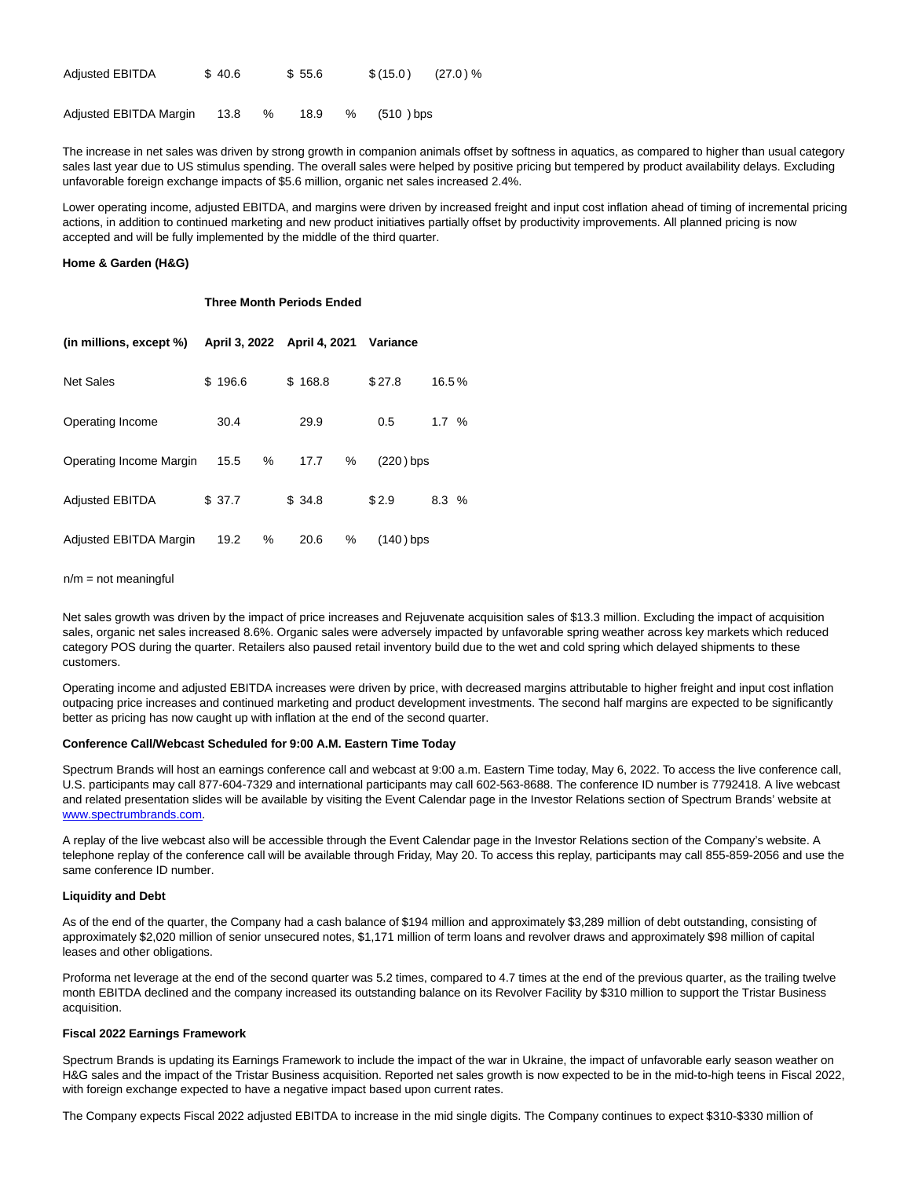| <b>Adjusted EBITDA</b> | \$40.6 |   | \$ 55.6 |   | \$(15.0)    | (27.0 ) % |
|------------------------|--------|---|---------|---|-------------|-----------|
| Adjusted EBITDA Margin | 13.8   | % | 18.9    | % | $(510)$ bps |           |

The increase in net sales was driven by strong growth in companion animals offset by softness in aquatics, as compared to higher than usual category sales last year due to US stimulus spending. The overall sales were helped by positive pricing but tempered by product availability delays. Excluding unfavorable foreign exchange impacts of \$5.6 million, organic net sales increased 2.4%.

Lower operating income, adjusted EBITDA, and margins were driven by increased freight and input cost inflation ahead of timing of incremental pricing actions, in addition to continued marketing and new product initiatives partially offset by productivity improvements. All planned pricing is now accepted and will be fully implemented by the middle of the third quarter.

# **Home & Garden (H&G)**

## **Three Month Periods Ended**

| (in millions, except %) | April 3, 2022 April 4, 2021 |   |         |      | Variance    |       |  |
|-------------------------|-----------------------------|---|---------|------|-------------|-------|--|
| <b>Net Sales</b>        | 196.6<br>\$                 |   | \$168.8 |      | \$27.8      | 16.5% |  |
| Operating Income        | 30.4                        |   | 29.9    |      | 0.5         | 1.7 % |  |
| Operating Income Margin | 15.5                        | % | 17.7    | $\%$ | $(220)$ bps |       |  |
| <b>Adjusted EBITDA</b>  | \$37.7                      |   | \$34.8  |      | \$2.9       | 8.3%  |  |
| Adjusted EBITDA Margin  | 19.2                        | ℅ | 20.6    | %    | $(140)$ bps |       |  |

 $n/m = not meaningful$ 

Net sales growth was driven by the impact of price increases and Rejuvenate acquisition sales of \$13.3 million. Excluding the impact of acquisition sales, organic net sales increased 8.6%. Organic sales were adversely impacted by unfavorable spring weather across key markets which reduced category POS during the quarter. Retailers also paused retail inventory build due to the wet and cold spring which delayed shipments to these customers.

Operating income and adjusted EBITDA increases were driven by price, with decreased margins attributable to higher freight and input cost inflation outpacing price increases and continued marketing and product development investments. The second half margins are expected to be significantly better as pricing has now caught up with inflation at the end of the second quarter.

#### **Conference Call/Webcast Scheduled for 9:00 A.M. Eastern Time Today**

Spectrum Brands will host an earnings conference call and webcast at 9:00 a.m. Eastern Time today, May 6, 2022. To access the live conference call, U.S. participants may call 877-604-7329 and international participants may call 602-563-8688. The conference ID number is 7792418. A live webcast and related presentation slides will be available by visiting the Event Calendar page in the Investor Relations section of Spectrum Brands' website at [www.spectrumbrands.com.](http://www.spectrumbrands.com/)

A replay of the live webcast also will be accessible through the Event Calendar page in the Investor Relations section of the Company's website. A telephone replay of the conference call will be available through Friday, May 20. To access this replay, participants may call 855-859-2056 and use the same conference ID number.

#### **Liquidity and Debt**

As of the end of the quarter, the Company had a cash balance of \$194 million and approximately \$3,289 million of debt outstanding, consisting of approximately \$2,020 million of senior unsecured notes, \$1,171 million of term loans and revolver draws and approximately \$98 million of capital leases and other obligations.

Proforma net leverage at the end of the second quarter was 5.2 times, compared to 4.7 times at the end of the previous quarter, as the trailing twelve month EBITDA declined and the company increased its outstanding balance on its Revolver Facility by \$310 million to support the Tristar Business acquisition.

## **Fiscal 2022 Earnings Framework**

Spectrum Brands is updating its Earnings Framework to include the impact of the war in Ukraine, the impact of unfavorable early season weather on H&G sales and the impact of the Tristar Business acquisition. Reported net sales growth is now expected to be in the mid-to-high teens in Fiscal 2022, with foreign exchange expected to have a negative impact based upon current rates.

The Company expects Fiscal 2022 adjusted EBITDA to increase in the mid single digits. The Company continues to expect \$310-\$330 million of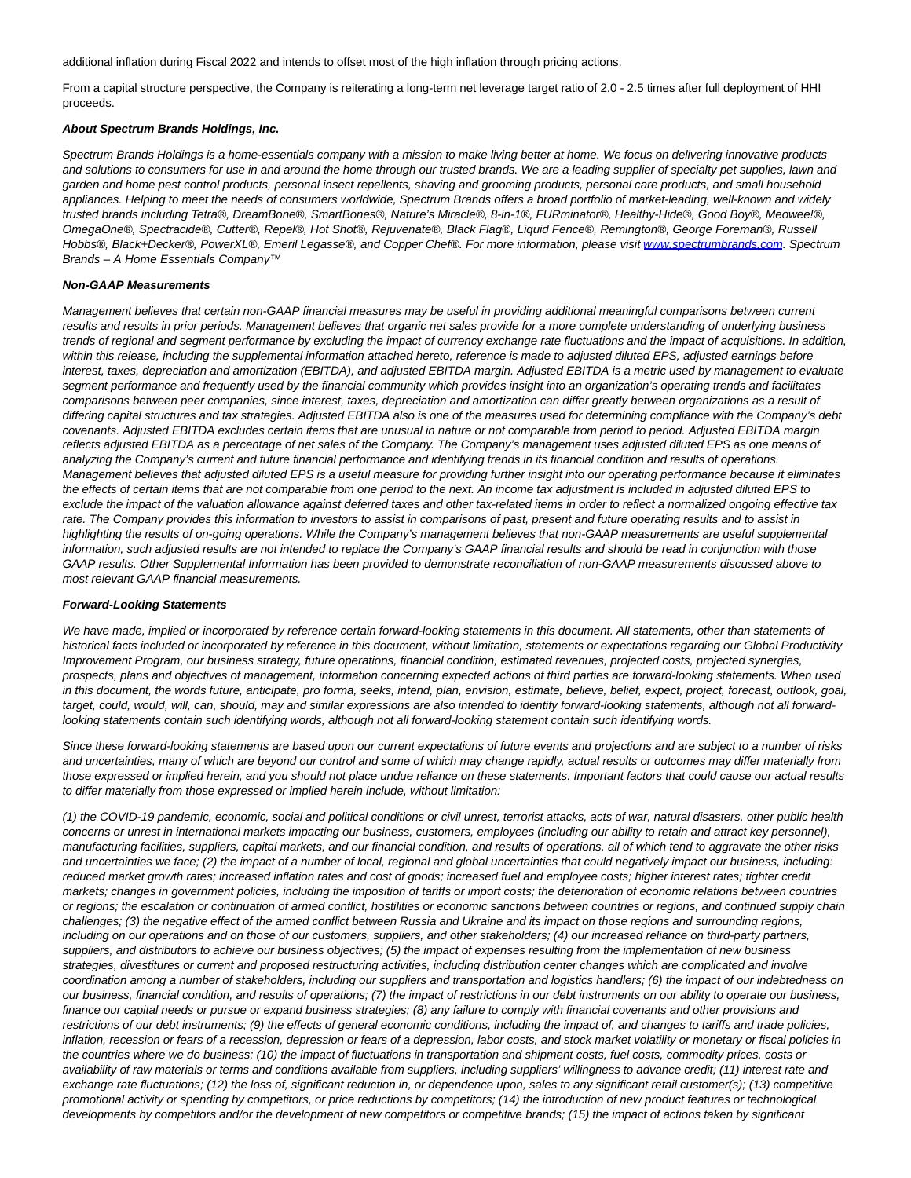additional inflation during Fiscal 2022 and intends to offset most of the high inflation through pricing actions.

From a capital structure perspective, the Company is reiterating a long-term net leverage target ratio of 2.0 - 2.5 times after full deployment of HHI proceeds.

#### **About Spectrum Brands Holdings, Inc.**

Spectrum Brands Holdings is a home-essentials company with a mission to make living better at home. We focus on delivering innovative products and solutions to consumers for use in and around the home through our trusted brands. We are a leading supplier of specialty pet supplies, lawn and garden and home pest control products, personal insect repellents, shaving and grooming products, personal care products, and small household appliances. Helping to meet the needs of consumers worldwide, Spectrum Brands offers a broad portfolio of market-leading, well-known and widely trusted brands including Tetra®, DreamBone®, SmartBones®, Nature's Miracle®, 8-in-1®, FURminator®, Healthy-Hide®, Good Boy®, Meowee!®, OmegaOne®, Spectracide®, Cutter®, Repel®, Hot Shot®, Rejuvenate®, Black Flag®, Liquid Fence®, Remington®, George Foreman®, Russell Hobbs®, Black+Decker®, PowerXL®, Emeril Legasse®, and Copper Chef®. For more information, please visit [www.spectrumbrands.com.](http://www.spectrumbrands.com/) Spectrum Brands – A Home Essentials Company™

## **Non-GAAP Measurements**

Management believes that certain non-GAAP financial measures may be useful in providing additional meaningful comparisons between current results and results in prior periods. Management believes that organic net sales provide for a more complete understanding of underlying business trends of regional and segment performance by excluding the impact of currency exchange rate fluctuations and the impact of acquisitions. In addition, within this release, including the supplemental information attached hereto, reference is made to adjusted diluted EPS, adjusted earnings before interest, taxes, depreciation and amortization (EBITDA), and adjusted EBITDA margin. Adjusted EBITDA is a metric used by management to evaluate segment performance and frequently used by the financial community which provides insight into an organization's operating trends and facilitates comparisons between peer companies, since interest, taxes, depreciation and amortization can differ greatly between organizations as a result of differing capital structures and tax strategies. Adjusted EBITDA also is one of the measures used for determining compliance with the Company's debt covenants. Adjusted EBITDA excludes certain items that are unusual in nature or not comparable from period to period. Adjusted EBITDA margin reflects adjusted EBITDA as a percentage of net sales of the Company. The Company's management uses adjusted diluted EPS as one means of analyzing the Company's current and future financial performance and identifying trends in its financial condition and results of operations. Management believes that adjusted diluted EPS is a useful measure for providing further insight into our operating performance because it eliminates the effects of certain items that are not comparable from one period to the next. An income tax adjustment is included in adjusted diluted EPS to exclude the impact of the valuation allowance against deferred taxes and other tax-related items in order to reflect a normalized ongoing effective tax rate. The Company provides this information to investors to assist in comparisons of past, present and future operating results and to assist in highlighting the results of on-going operations. While the Company's management believes that non-GAAP measurements are useful supplemental information, such adjusted results are not intended to replace the Company's GAAP financial results and should be read in conjunction with those GAAP results. Other Supplemental Information has been provided to demonstrate reconciliation of non-GAAP measurements discussed above to most relevant GAAP financial measurements.

#### **Forward-Looking Statements**

We have made, implied or incorporated by reference certain forward-looking statements in this document. All statements, other than statements of historical facts included or incorporated by reference in this document, without limitation, statements or expectations regarding our Global Productivity Improvement Program, our business strategy, future operations, financial condition, estimated revenues, projected costs, projected synergies, prospects, plans and objectives of management, information concerning expected actions of third parties are forward-looking statements. When used in this document, the words future, anticipate, pro forma, seeks, intend, plan, envision, estimate, believe, belief, expect, project, forecast, outlook, goal, target, could, would, will, can, should, may and similar expressions are also intended to identify forward-looking statements, although not all forwardlooking statements contain such identifying words, although not all forward-looking statement contain such identifying words.

Since these forward-looking statements are based upon our current expectations of future events and projections and are subject to a number of risks and uncertainties, many of which are beyond our control and some of which may change rapidly, actual results or outcomes may differ materially from those expressed or implied herein, and you should not place undue reliance on these statements. Important factors that could cause our actual results to differ materially from those expressed or implied herein include, without limitation:

(1) the COVID-19 pandemic, economic, social and political conditions or civil unrest, terrorist attacks, acts of war, natural disasters, other public health concerns or unrest in international markets impacting our business, customers, employees (including our ability to retain and attract key personnel), manufacturing facilities, suppliers, capital markets, and our financial condition, and results of operations, all of which tend to aggravate the other risks and uncertainties we face; (2) the impact of a number of local, regional and global uncertainties that could negatively impact our business, including: reduced market growth rates; increased inflation rates and cost of goods; increased fuel and employee costs; higher interest rates; tighter credit markets; changes in government policies, including the imposition of tariffs or import costs; the deterioration of economic relations between countries or regions; the escalation or continuation of armed conflict, hostilities or economic sanctions between countries or regions, and continued supply chain challenges; (3) the negative effect of the armed conflict between Russia and Ukraine and its impact on those regions and surrounding regions, including on our operations and on those of our customers, suppliers, and other stakeholders; (4) our increased reliance on third-party partners, suppliers, and distributors to achieve our business objectives; (5) the impact of expenses resulting from the implementation of new business strategies, divestitures or current and proposed restructuring activities, including distribution center changes which are complicated and involve coordination among a number of stakeholders, including our suppliers and transportation and logistics handlers; (6) the impact of our indebtedness on our business, financial condition, and results of operations; (7) the impact of restrictions in our debt instruments on our ability to operate our business, finance our capital needs or pursue or expand business strategies; (8) any failure to comply with financial covenants and other provisions and restrictions of our debt instruments; (9) the effects of general economic conditions, including the impact of, and changes to tariffs and trade policies, inflation, recession or fears of a recession, depression or fears of a depression, labor costs, and stock market volatility or monetary or fiscal policies in the countries where we do business; (10) the impact of fluctuations in transportation and shipment costs, fuel costs, commodity prices, costs or availability of raw materials or terms and conditions available from suppliers, including suppliers' willingness to advance credit; (11) interest rate and exchange rate fluctuations; (12) the loss of, significant reduction in, or dependence upon, sales to any significant retail customer(s); (13) competitive promotional activity or spending by competitors, or price reductions by competitors; (14) the introduction of new product features or technological developments by competitors and/or the development of new competitors or competitive brands; (15) the impact of actions taken by significant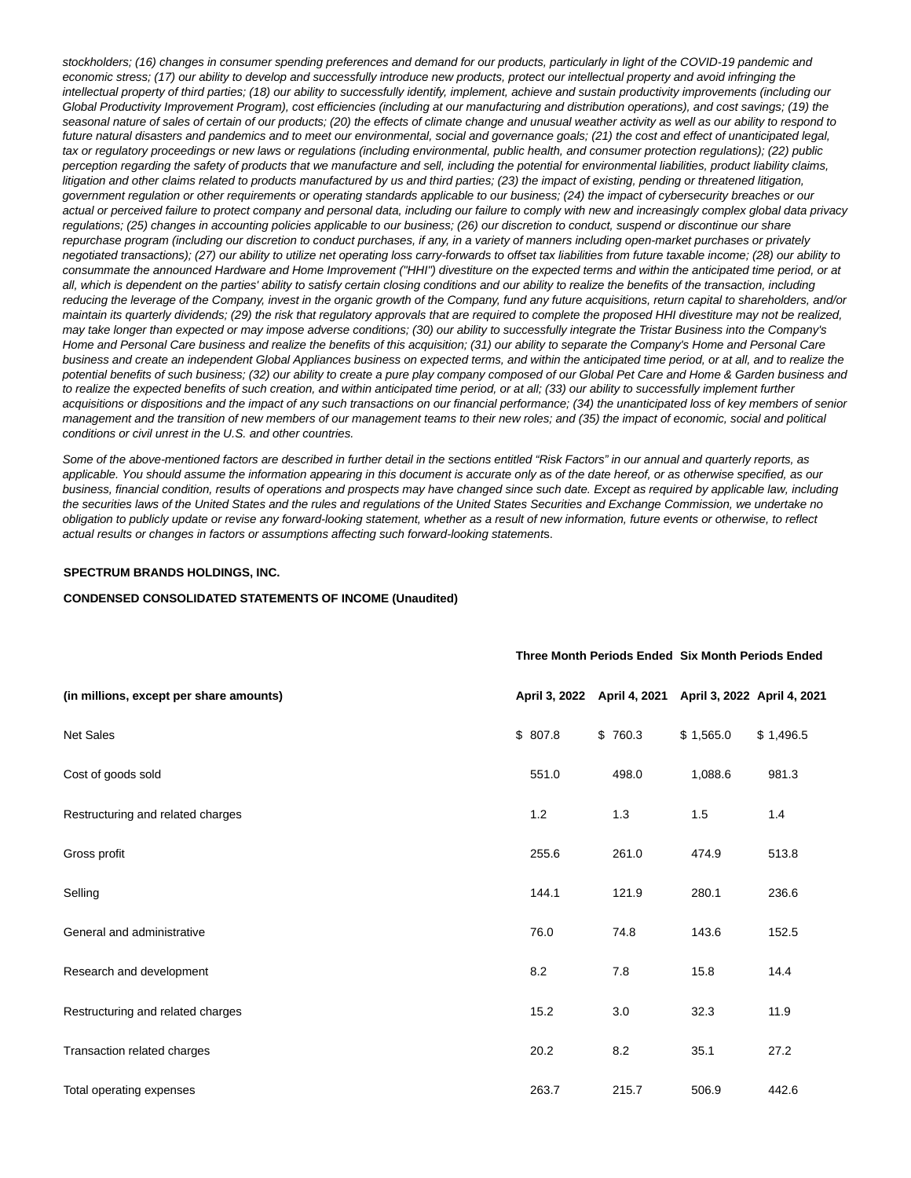stockholders; (16) changes in consumer spending preferences and demand for our products, particularly in light of the COVID-19 pandemic and economic stress; (17) our ability to develop and successfully introduce new products, protect our intellectual property and avoid infringing the intellectual property of third parties; (18) our ability to successfully identify, implement, achieve and sustain productivity improvements (including our Global Productivity Improvement Program), cost efficiencies (including at our manufacturing and distribution operations), and cost savings; (19) the seasonal nature of sales of certain of our products; (20) the effects of climate change and unusual weather activity as well as our ability to respond to future natural disasters and pandemics and to meet our environmental, social and governance goals; (21) the cost and effect of unanticipated legal, tax or regulatory proceedings or new laws or regulations (including environmental, public health, and consumer protection regulations); (22) public perception regarding the safety of products that we manufacture and sell, including the potential for environmental liabilities, product liability claims, litigation and other claims related to products manufactured by us and third parties; (23) the impact of existing, pending or threatened litigation, government regulation or other requirements or operating standards applicable to our business; (24) the impact of cybersecurity breaches or our actual or perceived failure to protect company and personal data, including our failure to comply with new and increasingly complex global data privacy regulations; (25) changes in accounting policies applicable to our business; (26) our discretion to conduct, suspend or discontinue our share repurchase program (including our discretion to conduct purchases, if any, in a variety of manners including open-market purchases or privately negotiated transactions); (27) our ability to utilize net operating loss carry-forwards to offset tax liabilities from future taxable income; (28) our ability to consummate the announced Hardware and Home Improvement ("HHI") divestiture on the expected terms and within the anticipated time period, or at all, which is dependent on the parties' ability to satisfy certain closing conditions and our ability to realize the benefits of the transaction, including reducing the leverage of the Company, invest in the organic growth of the Company, fund any future acquisitions, return capital to shareholders, and/or maintain its quarterly dividends; (29) the risk that regulatory approvals that are required to complete the proposed HHI divestiture may not be realized, may take longer than expected or may impose adverse conditions; (30) our ability to successfully integrate the Tristar Business into the Company's Home and Personal Care business and realize the benefits of this acquisition; (31) our ability to separate the Company's Home and Personal Care business and create an independent Global Appliances business on expected terms, and within the anticipated time period, or at all, and to realize the potential benefits of such business; (32) our ability to create a pure play company composed of our Global Pet Care and Home & Garden business and to realize the expected benefits of such creation, and within anticipated time period, or at all; (33) our ability to successfully implement further acquisitions or dispositions and the impact of any such transactions on our financial performance; (34) the unanticipated loss of key members of senior management and the transition of new members of our management teams to their new roles; and (35) the impact of economic, social and political conditions or civil unrest in the U.S. and other countries.

Some of the above-mentioned factors are described in further detail in the sections entitled "Risk Factors" in our annual and quarterly reports, as applicable. You should assume the information appearing in this document is accurate only as of the date hereof, or as otherwise specified, as our business, financial condition, results of operations and prospects may have changed since such date. Except as required by applicable law, including the securities laws of the United States and the rules and regulations of the United States Securities and Exchange Commission, we undertake no obligation to publicly update or revise any forward-looking statement, whether as a result of new information, future events or otherwise, to reflect actual results or changes in factors or assumptions affecting such forward-looking statements.

## **SPECTRUM BRANDS HOLDINGS, INC.**

## **CONDENSED CONSOLIDATED STATEMENTS OF INCOME (Unaudited)**

|                                         |         |                                                         | Three Month Periods Ended Six Month Periods Ended |           |  |  |
|-----------------------------------------|---------|---------------------------------------------------------|---------------------------------------------------|-----------|--|--|
| (in millions, except per share amounts) |         | April 3, 2022 April 4, 2021 April 3, 2022 April 4, 2021 |                                                   |           |  |  |
| <b>Net Sales</b>                        | \$807.8 | \$760.3                                                 | \$1,565.0                                         | \$1,496.5 |  |  |
| Cost of goods sold                      | 551.0   | 498.0                                                   | 1,088.6                                           | 981.3     |  |  |
| Restructuring and related charges       | 1.2     | 1.3                                                     | 1.5                                               | 1.4       |  |  |
| Gross profit                            | 255.6   | 261.0                                                   | 474.9                                             | 513.8     |  |  |
| Selling                                 | 144.1   | 121.9                                                   | 280.1                                             | 236.6     |  |  |
| General and administrative              | 76.0    | 74.8                                                    | 143.6                                             | 152.5     |  |  |
| Research and development                | 8.2     | 7.8                                                     | 15.8                                              | 14.4      |  |  |
| Restructuring and related charges       | 15.2    | 3.0                                                     | 32.3                                              | 11.9      |  |  |
| Transaction related charges             | 20.2    | 8.2                                                     | 35.1                                              | 27.2      |  |  |
| Total operating expenses                | 263.7   | 215.7                                                   | 506.9                                             | 442.6     |  |  |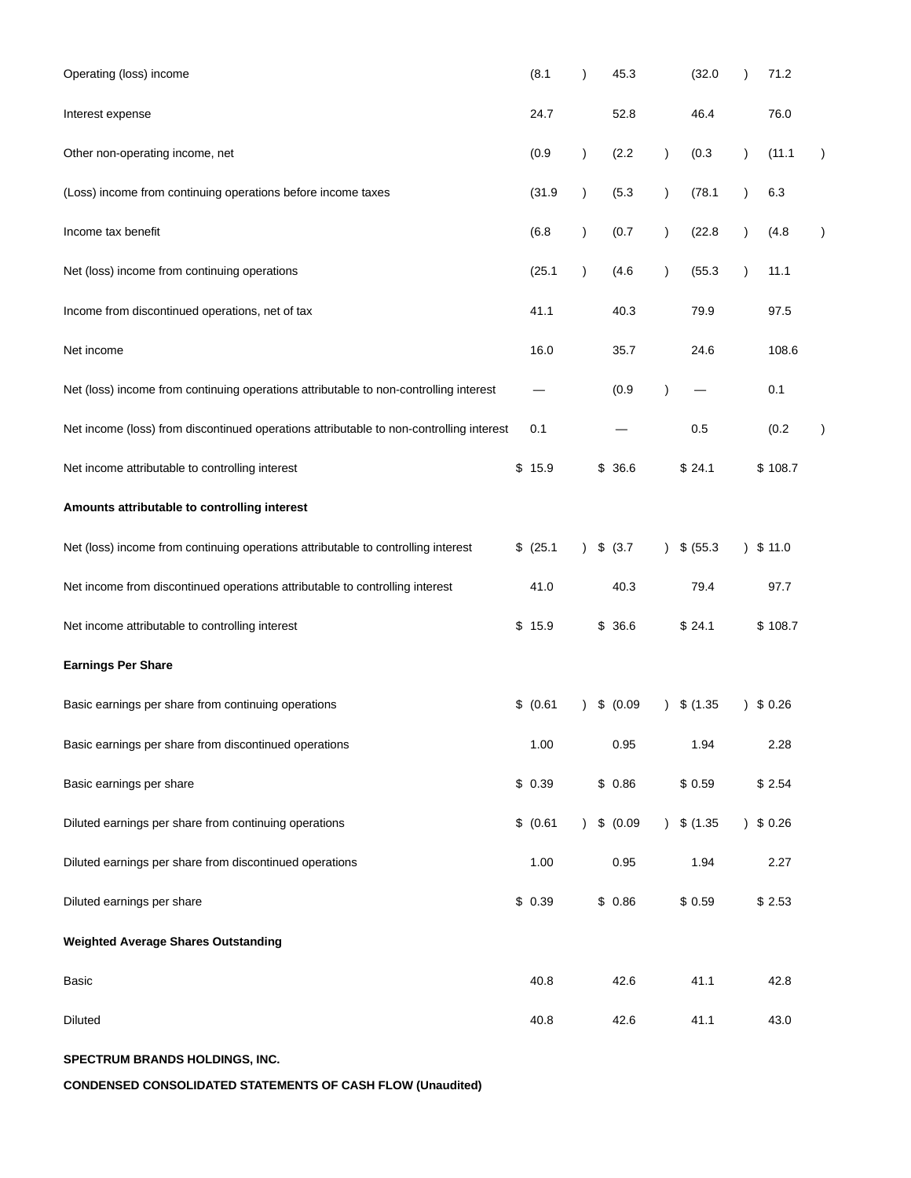| Operating (loss) income                                                                 | (8.1)     |           | 45.3         |               | (32.0)    |           |               | 71.2    |  |
|-----------------------------------------------------------------------------------------|-----------|-----------|--------------|---------------|-----------|-----------|---------------|---------|--|
| Interest expense                                                                        | 24.7      |           | 52.8         |               | 46.4      |           |               | 76.0    |  |
| Other non-operating income, net                                                         | (0.9)     | $\lambda$ | (2.2)        | $\lambda$     | (0.3)     | $\lambda$ |               | (11.1)  |  |
| (Loss) income from continuing operations before income taxes                            | (31.9)    | $\lambda$ | (5.3)        | $\lambda$     | (78.1)    | $\lambda$ |               | 6.3     |  |
| Income tax benefit                                                                      | (6.8)     | $\lambda$ | (0.7)        | $\lambda$     | (22.8)    | $\lambda$ |               | (4.8)   |  |
| Net (loss) income from continuing operations                                            | (25.1)    | $\lambda$ | (4.6)        | $\lambda$     | (55.3)    | $\lambda$ |               | 11.1    |  |
| Income from discontinued operations, net of tax                                         | 41.1      |           | 40.3         |               | 79.9      |           |               | 97.5    |  |
| Net income                                                                              | 16.0      |           | 35.7         |               | 24.6      |           |               | 108.6   |  |
| Net (loss) income from continuing operations attributable to non-controlling interest   |           |           | (0.9)        | $\lambda$     |           |           |               | 0.1     |  |
| Net income (loss) from discontinued operations attributable to non-controlling interest | 0.1       |           |              |               | 0.5       |           |               | (0.2)   |  |
| Net income attributable to controlling interest                                         | \$15.9    |           | \$36.6       |               | \$24.1    |           |               | \$108.7 |  |
| Amounts attributable to controlling interest                                            |           |           |              |               |           |           |               |         |  |
| Net (loss) income from continuing operations attributable to controlling interest       | \$ (25.1) | $\lambda$ | \$<br>(3.7)  | $\lambda$     | \$ (55.3) |           | $\mathcal{L}$ | \$11.0  |  |
| Net income from discontinued operations attributable to controlling interest            | 41.0      |           | 40.3         |               | 79.4      |           |               | 97.7    |  |
| Net income attributable to controlling interest                                         | \$15.9    |           | \$36.6       |               | \$24.1    |           |               | \$108.7 |  |
| <b>Earnings Per Share</b>                                                               |           |           |              |               |           |           |               |         |  |
| Basic earnings per share from continuing operations                                     | \$ (0.61) | $\lambda$ | \$<br>(0.09) | $\mathcal{L}$ | \$ (1.35) |           | 30.26         |         |  |
| Basic earnings per share from discontinued operations                                   | 1.00      |           | 0.95         |               | 1.94      |           |               | 2.28    |  |
| Basic earnings per share                                                                | \$0.39    |           | \$0.86       |               | \$ 0.59   |           |               | \$2.54  |  |
| Diluted earnings per share from continuing operations                                   | \$ (0.61) |           | \$ (0.09)    | $\lambda$     | \$ (1.35) |           | 3.50.26       |         |  |
| Diluted earnings per share from discontinued operations                                 | 1.00      |           | 0.95         |               | 1.94      |           |               | 2.27    |  |
| Diluted earnings per share                                                              | \$0.39    |           | \$0.86       |               | \$ 0.59   |           |               | \$2.53  |  |
| <b>Weighted Average Shares Outstanding</b>                                              |           |           |              |               |           |           |               |         |  |
| Basic                                                                                   | 40.8      |           | 42.6         |               | 41.1      |           |               | 42.8    |  |
| Diluted                                                                                 | 40.8      |           | 42.6         |               | 41.1      |           |               | 43.0    |  |

# **SPECTRUM BRANDS HOLDINGS, INC.**

**CONDENSED CONSOLIDATED STATEMENTS OF CASH FLOW (Unaudited)**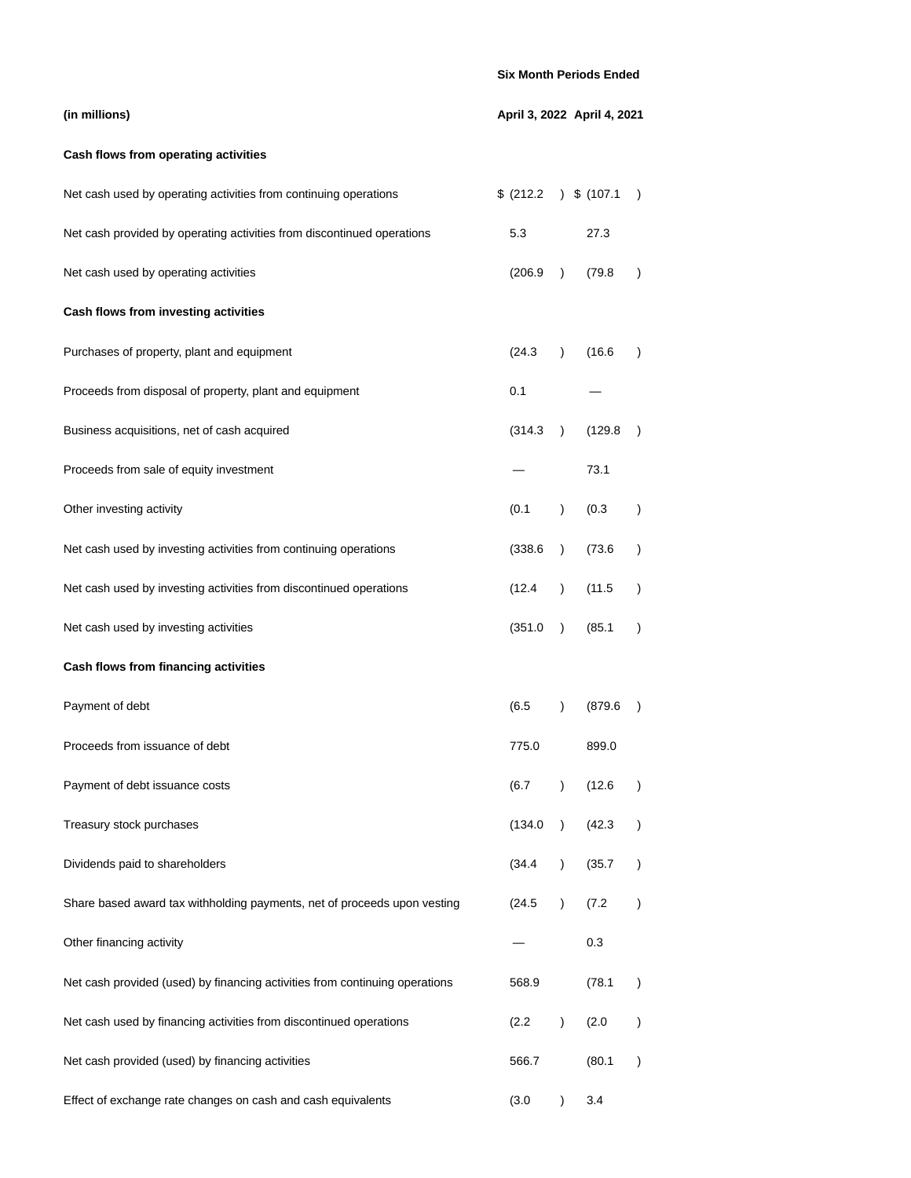|                                                                             |                          | <b>Six Month Periods Ended</b> |
|-----------------------------------------------------------------------------|--------------------------|--------------------------------|
| (in millions)                                                               |                          | April 3, 2022 April 4, 2021    |
| Cash flows from operating activities                                        |                          |                                |
| Net cash used by operating activities from continuing operations            | \$(212.2)                | $)$ \$ (107.1<br>$\lambda$     |
| Net cash provided by operating activities from discontinued operations      | 5.3                      | 27.3                           |
| Net cash used by operating activities                                       | (206.9)<br>$\lambda$     | (79.8)<br>$\lambda$            |
| Cash flows from investing activities                                        |                          |                                |
| Purchases of property, plant and equipment                                  | (24.3)<br>$\lambda$      | (16.6)<br>$\lambda$            |
| Proceeds from disposal of property, plant and equipment                     | 0.1                      |                                |
| Business acquisitions, net of cash acquired                                 | (314.3)<br>$\rightarrow$ | (129.8)<br>$\lambda$           |
| Proceeds from sale of equity investment                                     |                          | 73.1                           |
| Other investing activity                                                    | (0.1)<br>$\mathcal{L}$   | (0.3)<br>$\lambda$             |
| Net cash used by investing activities from continuing operations            | (338.6)<br>$\mathcal{L}$ | (73.6)<br>$\lambda$            |
| Net cash used by investing activities from discontinued operations          | (12.4)<br>$\lambda$      | (11.5)<br>$\lambda$            |
| Net cash used by investing activities                                       | (351.0)<br>$\lambda$     | (85.1)<br>$\lambda$            |
| Cash flows from financing activities                                        |                          |                                |
| Payment of debt                                                             | (6.5)<br>$\lambda$       | (879.6)<br>$\lambda$           |
| Proceeds from issuance of debt                                              | 775.0                    | 899.0                          |
| Payment of debt issuance costs                                              | (6.7)<br>$\mathcal{E}$   | (12.6)<br>$\lambda$            |
| Treasury stock purchases                                                    | (134.0)<br>$\lambda$     | (42.3)<br>$\lambda$            |
| Dividends paid to shareholders                                              | (34.4)<br>$\mathcal{E}$  | (35.7)<br>$\mathcal{C}$        |
| Share based award tax withholding payments, net of proceeds upon vesting    | (24.5<br>$\lambda$       | (7.2)<br>$\lambda$             |
| Other financing activity                                                    |                          | 0.3                            |
| Net cash provided (used) by financing activities from continuing operations | 568.9                    | (78.1)<br>$\lambda$            |
| Net cash used by financing activities from discontinued operations          | (2.2)<br>$\mathcal{E}$   | (2.0)<br>$\mathcal{C}$         |
| Net cash provided (used) by financing activities                            | 566.7                    | (80.1)<br>$\mathcal{C}$        |
| Effect of exchange rate changes on cash and cash equivalents                | (3.0)                    | 3.4                            |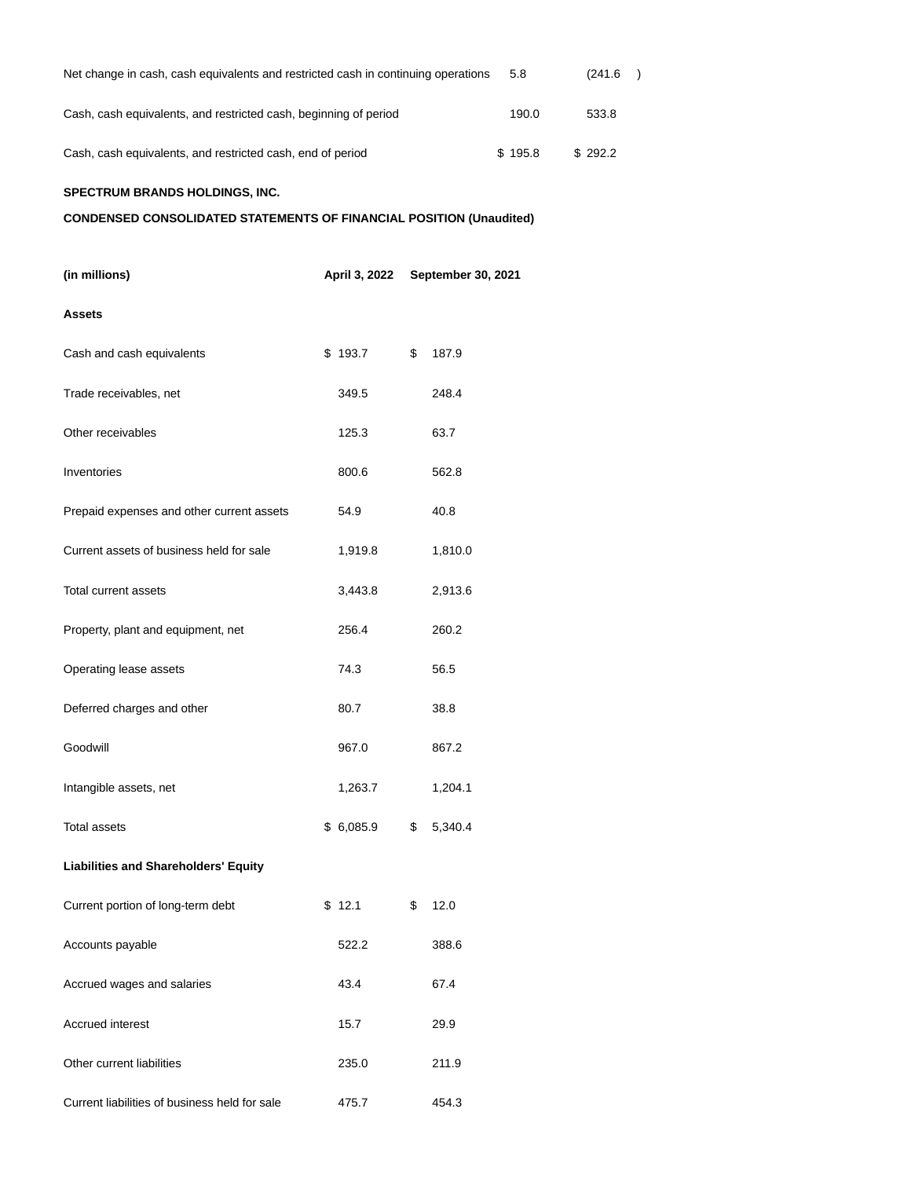| Net change in cash, cash equivalents and restricted cash in continuing operations | 5.8     | (241.6) |  |
|-----------------------------------------------------------------------------------|---------|---------|--|
| Cash, cash equivalents, and restricted cash, beginning of period                  | 190.0   | 533.8   |  |
| Cash, cash equivalents, and restricted cash, end of period                        | \$195.8 | \$292.2 |  |

# **SPECTRUM BRANDS HOLDINGS, INC.**

# **CONDENSED CONSOLIDATED STATEMENTS OF FINANCIAL POSITION (Unaudited)**

| (in millions)                                 | April 3, 2022 | September 30, 2021 |  |  |
|-----------------------------------------------|---------------|--------------------|--|--|
| <b>Assets</b>                                 |               |                    |  |  |
| Cash and cash equivalents                     | \$193.7       | \$<br>187.9        |  |  |
| Trade receivables, net                        | 349.5         | 248.4              |  |  |
| Other receivables                             | 125.3         | 63.7               |  |  |
| Inventories                                   | 800.6         | 562.8              |  |  |
| Prepaid expenses and other current assets     | 54.9          | 40.8               |  |  |
| Current assets of business held for sale      | 1,919.8       | 1,810.0            |  |  |
| Total current assets                          | 3,443.8       | 2,913.6            |  |  |
| Property, plant and equipment, net            | 256.4         | 260.2              |  |  |
| Operating lease assets                        | 74.3          | 56.5               |  |  |
| Deferred charges and other                    | 80.7          | 38.8               |  |  |
| Goodwill                                      | 967.0         | 867.2              |  |  |
| Intangible assets, net                        | 1,263.7       | 1,204.1            |  |  |
| <b>Total assets</b>                           | \$ 6,085.9    | \$<br>5,340.4      |  |  |
| <b>Liabilities and Shareholders' Equity</b>   |               |                    |  |  |
| Current portion of long-term debt             | \$12.1        | \$<br>12.0         |  |  |
| Accounts payable                              | 522.2         | 388.6              |  |  |
| Accrued wages and salaries                    | 43.4          | 67.4               |  |  |
| Accrued interest                              | 15.7          | 29.9               |  |  |
| Other current liabilities                     | 235.0         | 211.9              |  |  |
| Current liabilities of business held for sale | 475.7         | 454.3              |  |  |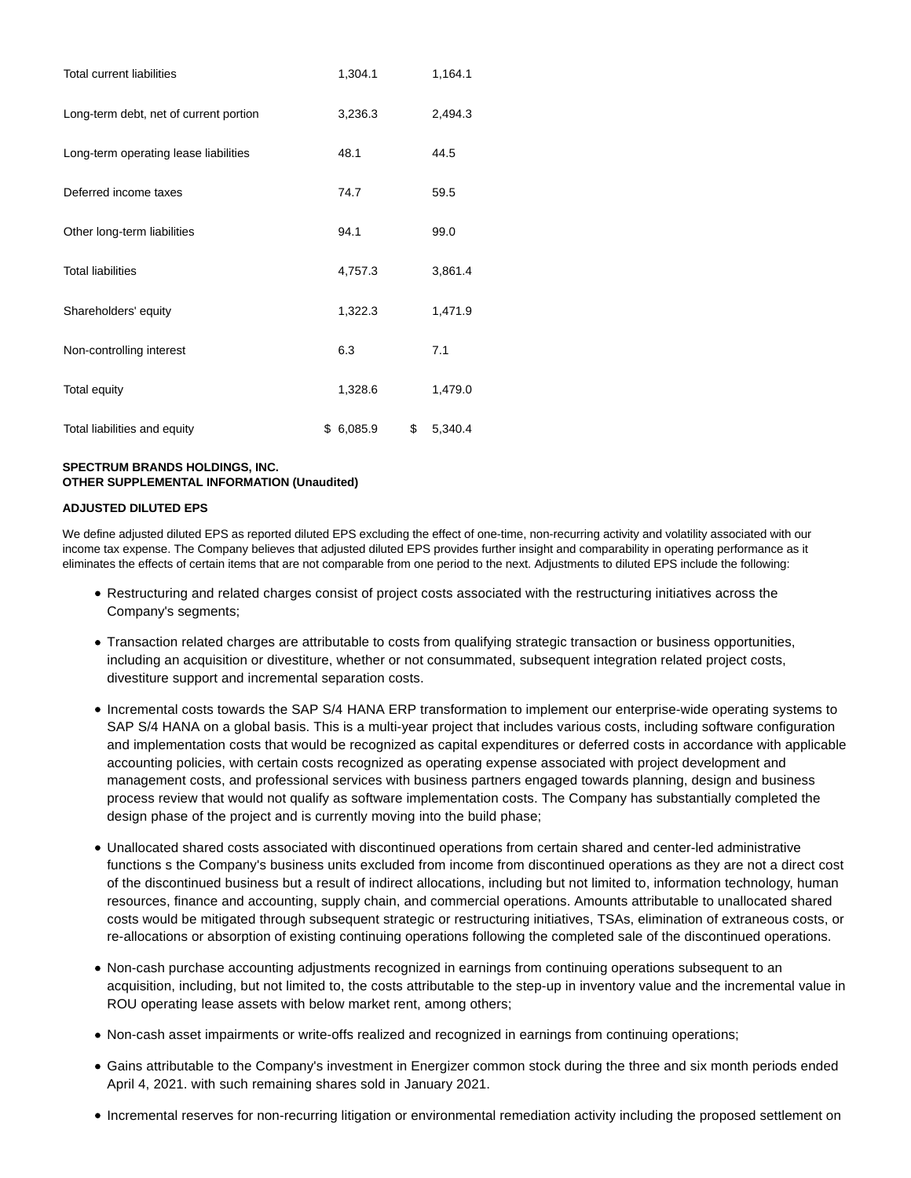| <b>Total current liabilities</b>       | 1,304.1   | 1,164.1       |
|----------------------------------------|-----------|---------------|
| Long-term debt, net of current portion | 3,236.3   | 2,494.3       |
| Long-term operating lease liabilities  | 48.1      | 44.5          |
| Deferred income taxes                  | 74.7      | 59.5          |
| Other long-term liabilities            | 94.1      | 99.0          |
| <b>Total liabilities</b>               | 4,757.3   | 3,861.4       |
| Shareholders' equity                   | 1,322.3   | 1,471.9       |
| Non-controlling interest               | 6.3       | 7.1           |
| Total equity                           | 1,328.6   | 1,479.0       |
| Total liabilities and equity           | \$6,085.9 | \$<br>5,340.4 |

## **SPECTRUM BRANDS HOLDINGS, INC. OTHER SUPPLEMENTAL INFORMATION (Unaudited)**

# **ADJUSTED DILUTED EPS**

We define adjusted diluted EPS as reported diluted EPS excluding the effect of one-time, non-recurring activity and volatility associated with our income tax expense. The Company believes that adjusted diluted EPS provides further insight and comparability in operating performance as it eliminates the effects of certain items that are not comparable from one period to the next. Adjustments to diluted EPS include the following:

- Restructuring and related charges consist of project costs associated with the restructuring initiatives across the Company's segments;
- Transaction related charges are attributable to costs from qualifying strategic transaction or business opportunities, including an acquisition or divestiture, whether or not consummated, subsequent integration related project costs, divestiture support and incremental separation costs.
- Incremental costs towards the SAP S/4 HANA ERP transformation to implement our enterprise-wide operating systems to SAP S/4 HANA on a global basis. This is a multi-year project that includes various costs, including software configuration and implementation costs that would be recognized as capital expenditures or deferred costs in accordance with applicable accounting policies, with certain costs recognized as operating expense associated with project development and management costs, and professional services with business partners engaged towards planning, design and business process review that would not qualify as software implementation costs. The Company has substantially completed the design phase of the project and is currently moving into the build phase;
- Unallocated shared costs associated with discontinued operations from certain shared and center-led administrative functions s the Company's business units excluded from income from discontinued operations as they are not a direct cost of the discontinued business but a result of indirect allocations, including but not limited to, information technology, human resources, finance and accounting, supply chain, and commercial operations. Amounts attributable to unallocated shared costs would be mitigated through subsequent strategic or restructuring initiatives, TSAs, elimination of extraneous costs, or re-allocations or absorption of existing continuing operations following the completed sale of the discontinued operations.
- Non-cash purchase accounting adjustments recognized in earnings from continuing operations subsequent to an acquisition, including, but not limited to, the costs attributable to the step-up in inventory value and the incremental value in ROU operating lease assets with below market rent, among others;
- Non-cash asset impairments or write-offs realized and recognized in earnings from continuing operations;
- Gains attributable to the Company's investment in Energizer common stock during the three and six month periods ended April 4, 2021. with such remaining shares sold in January 2021.
- Incremental reserves for non-recurring litigation or environmental remediation activity including the proposed settlement on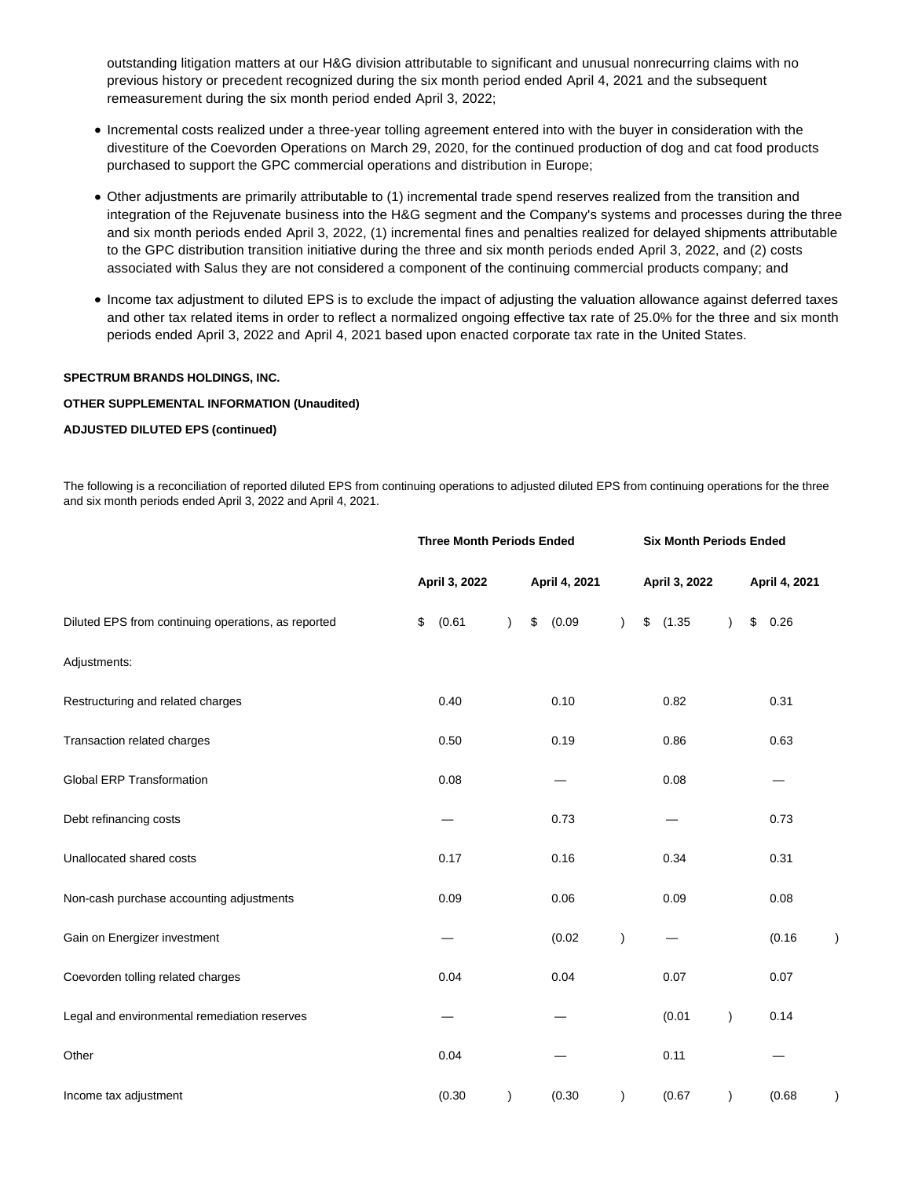outstanding litigation matters at our H&G division attributable to significant and unusual nonrecurring claims with no previous history or precedent recognized during the six month period ended April 4, 2021 and the subsequent remeasurement during the six month period ended April 3, 2022;

- Incremental costs realized under a three-year tolling agreement entered into with the buyer in consideration with the divestiture of the Coevorden Operations on March 29, 2020, for the continued production of dog and cat food products purchased to support the GPC commercial operations and distribution in Europe;
- Other adjustments are primarily attributable to (1) incremental trade spend reserves realized from the transition and integration of the Rejuvenate business into the H&G segment and the Company's systems and processes during the three and six month periods ended April 3, 2022, (1) incremental fines and penalties realized for delayed shipments attributable to the GPC distribution transition initiative during the three and six month periods ended April 3, 2022, and (2) costs associated with Salus they are not considered a component of the continuing commercial products company; and
- Income tax adjustment to diluted EPS is to exclude the impact of adjusting the valuation allowance against deferred taxes and other tax related items in order to reflect a normalized ongoing effective tax rate of 25.0% for the three and six month periods ended April 3, 2022 and April 4, 2021 based upon enacted corporate tax rate in the United States.

## **SPECTRUM BRANDS HOLDINGS, INC.**

## **OTHER SUPPLEMENTAL INFORMATION (Unaudited)**

## **ADJUSTED DILUTED EPS (continued)**

The following is a reconciliation of reported diluted EPS from continuing operations to adjusted diluted EPS from continuing operations for the three and six month periods ended April 3, 2022 and April 4, 2021.

|                                                     | <b>Three Month Periods Ended</b> |               |           |    |               | <b>Six Month Periods Ended</b> |    |               |               |    |               |  |
|-----------------------------------------------------|----------------------------------|---------------|-----------|----|---------------|--------------------------------|----|---------------|---------------|----|---------------|--|
|                                                     |                                  | April 3, 2022 |           |    | April 4, 2021 |                                |    | April 3, 2022 |               |    | April 4, 2021 |  |
| Diluted EPS from continuing operations, as reported | \$                               | (0.61)        | $\lambda$ | \$ | (0.09)        | $\lambda$                      | \$ | (1.35)        | $\lambda$     | \$ | 0.26          |  |
| Adjustments:                                        |                                  |               |           |    |               |                                |    |               |               |    |               |  |
| Restructuring and related charges                   |                                  | 0.40          |           |    | 0.10          |                                |    | 0.82          |               |    | 0.31          |  |
| Transaction related charges                         |                                  | 0.50          |           |    | 0.19          |                                |    | 0.86          |               |    | 0.63          |  |
| <b>Global ERP Transformation</b>                    |                                  | 0.08          |           |    |               |                                |    | 0.08          |               |    |               |  |
| Debt refinancing costs                              |                                  |               |           |    | 0.73          |                                |    |               |               |    | 0.73          |  |
| Unallocated shared costs                            |                                  | 0.17          |           |    | 0.16          |                                |    | 0.34          |               |    | 0.31          |  |
| Non-cash purchase accounting adjustments            |                                  | 0.09          |           |    | 0.06          |                                |    | 0.09          |               |    | 0.08          |  |
| Gain on Energizer investment                        |                                  |               |           |    | (0.02)        | $\lambda$                      |    |               |               |    | (0.16)        |  |
| Coevorden tolling related charges                   |                                  | 0.04          |           |    | 0.04          |                                |    | 0.07          |               |    | 0.07          |  |
| Legal and environmental remediation reserves        |                                  |               |           |    |               |                                |    | (0.01)        | $\mathcal{E}$ |    | 0.14          |  |
| Other                                               |                                  | 0.04          |           |    |               |                                |    | 0.11          |               |    |               |  |
| Income tax adjustment                               |                                  | (0.30)        |           |    | (0.30)        |                                |    | (0.67)        | $\lambda$     |    | (0.68)        |  |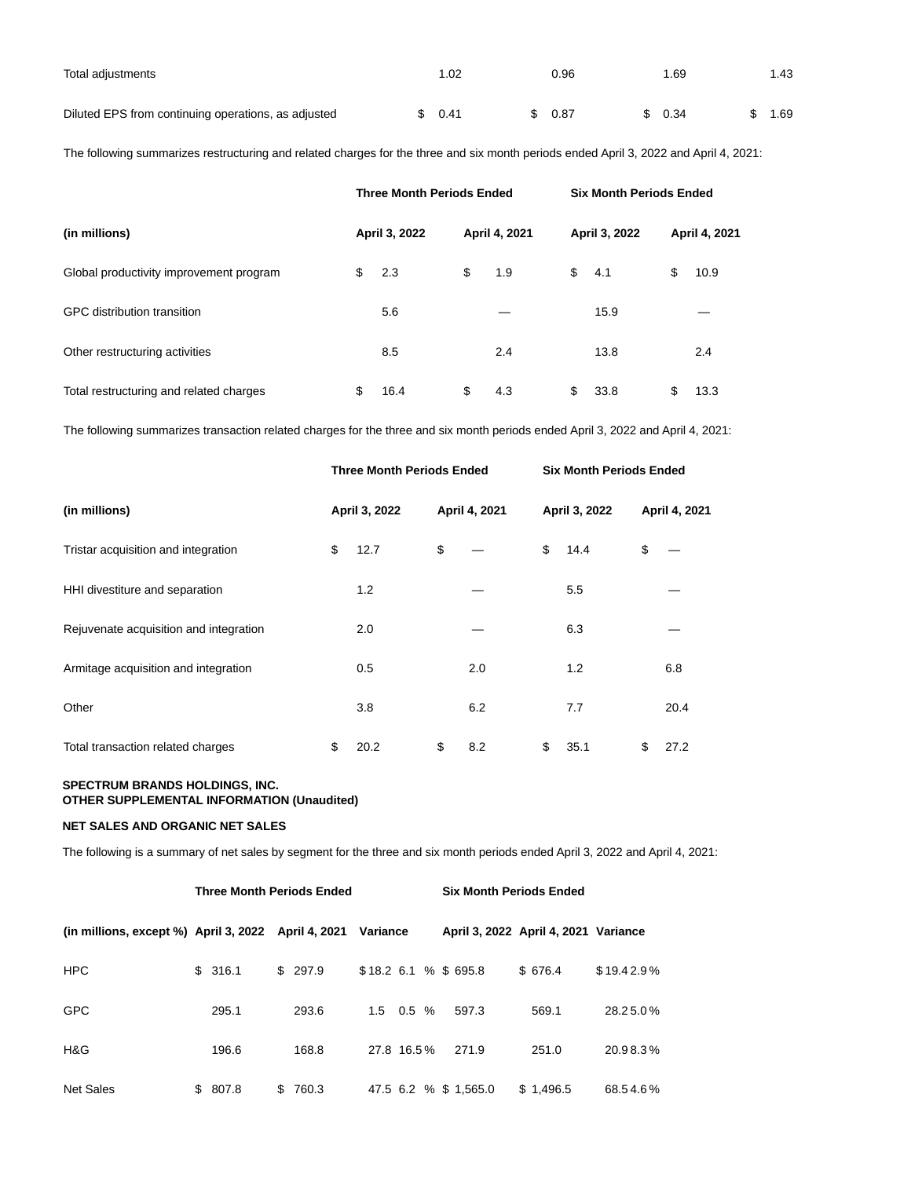| Total adjustments                                   | .02  | 0.96 | .69    | 1.43 |
|-----------------------------------------------------|------|------|--------|------|
| Diluted EPS from continuing operations, as adjusted | 0.41 | 0.87 | \$0.34 | 1.69 |

The following summarizes restructuring and related charges for the three and six month periods ended April 3, 2022 and April 4, 2021:

|                                         | <b>Three Month Periods Ended</b> |               | <b>Six Month Periods Ended</b> |               |    |               |  |  |  |
|-----------------------------------------|----------------------------------|---------------|--------------------------------|---------------|----|---------------|--|--|--|
| (in millions)                           | April 3, 2022                    | April 4, 2021 |                                | April 3, 2022 |    | April 4, 2021 |  |  |  |
| Global productivity improvement program | \$<br>2.3                        | \$<br>1.9     | \$                             | 4.1           | \$ | 10.9          |  |  |  |
| <b>GPC</b> distribution transition      | 5.6                              |               |                                | 15.9          |    |               |  |  |  |
| Other restructuring activities          | 8.5                              | 2.4           |                                | 13.8          |    | 2.4           |  |  |  |
| Total restructuring and related charges | \$<br>16.4                       | \$<br>4.3     | \$                             | 33.8          | \$ | 13.3          |  |  |  |

The following summarizes transaction related charges for the three and six month periods ended April 3, 2022 and April 4, 2021:

|                                        | <b>Three Month Periods Ended</b> |               | <b>Six Month Periods Ended</b> |               |
|----------------------------------------|----------------------------------|---------------|--------------------------------|---------------|
| (in millions)                          | April 3, 2022                    | April 4, 2021 | April 3, 2022                  | April 4, 2021 |
| Tristar acquisition and integration    | \$<br>12.7                       | \$            | \$<br>14.4                     | \$            |
| HHI divestiture and separation         | 1.2                              |               | 5.5                            |               |
| Rejuvenate acquisition and integration | 2.0                              |               | 6.3                            |               |
| Armitage acquisition and integration   | 0.5                              | 2.0           | 1.2                            | 6.8           |
| Other                                  | 3.8                              | 6.2           | 7.7                            | 20.4          |
| Total transaction related charges      | \$<br>20.2                       | \$<br>8.2     | \$<br>35.1                     | \$<br>27.2    |

## **SPECTRUM BRANDS HOLDINGS, INC. OTHER SUPPLEMENTAL INFORMATION (Unaudited)**

# **NET SALES AND ORGANIC NET SALES**

The following is a summary of net sales by segment for the three and six month periods ended April 3, 2022 and April 4, 2021:

|                                                              |    | <b>Three Month Periods Ended</b> |     |         |  |             |  | <b>Six Month Periods Ended</b>       |           |            |
|--------------------------------------------------------------|----|----------------------------------|-----|---------|--|-------------|--|--------------------------------------|-----------|------------|
| (in millions, except %) April 3, 2022 April 4, 2021 Variance |    |                                  |     |         |  |             |  | April 3, 2022 April 4, 2021 Variance |           |            |
| <b>HPC</b>                                                   |    | \$316.1                          |     | \$297.9 |  |             |  | $$18.2$ 6.1 % \$ 695.8               | \$676.4   | \$19.42.9% |
| <b>GPC</b>                                                   |    | 295.1                            |     | 293.6   |  | $1.5$ 0.5 % |  | 597.3                                | 569.1     | 28.25.0%   |
| H&G                                                          |    | 196.6                            |     | 168.8   |  | 27.8 16.5%  |  | 271.9                                | 251.0     | 20.98.3%   |
| <b>Net Sales</b>                                             | S. | 807.8                            | \$. | 760.3   |  |             |  | 47.5 6.2 % \$ 1.565.0                | \$1.496.5 | 68.54.6%   |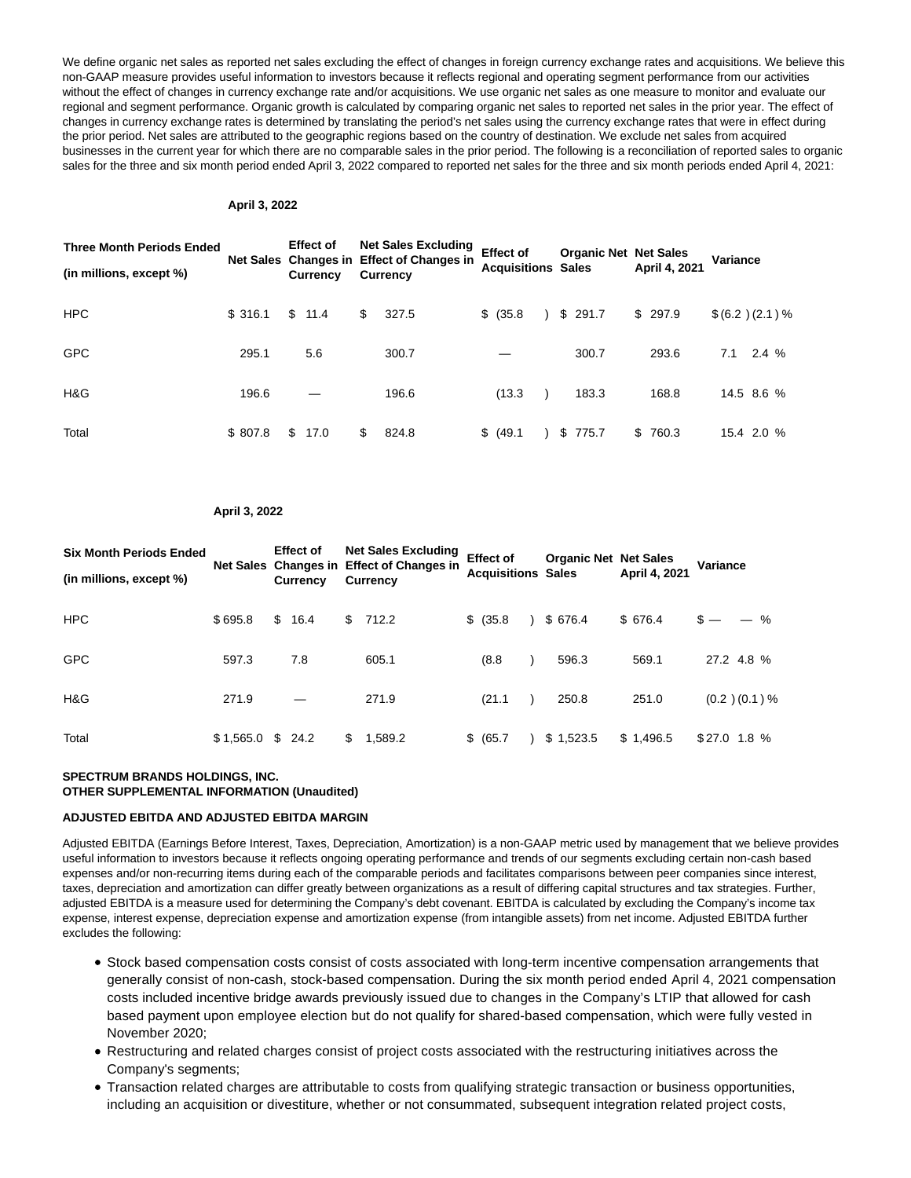We define organic net sales as reported net sales excluding the effect of changes in foreign currency exchange rates and acquisitions. We believe this non-GAAP measure provides useful information to investors because it reflects regional and operating segment performance from our activities without the effect of changes in currency exchange rate and/or acquisitions. We use organic net sales as one measure to monitor and evaluate our regional and segment performance. Organic growth is calculated by comparing organic net sales to reported net sales in the prior year. The effect of changes in currency exchange rates is determined by translating the period's net sales using the currency exchange rates that were in effect during the prior period. Net sales are attributed to the geographic regions based on the country of destination. We exclude net sales from acquired businesses in the current year for which there are no comparable sales in the prior period. The following is a reconciliation of reported sales to organic sales for the three and six month period ended April 3, 2022 compared to reported net sales for the three and six month periods ended April 4, 2021:

## **April 3, 2022**

| <b>Three Month Periods Ended</b><br>(in millions, except %) |         | <b>Effect of</b><br><b>Currency</b> |     | <b>Net Sales Excluding</b><br>Net Sales Changes in Effect of Changes in<br>Currency | <b>Effect of</b><br><b>Acquisitions Sales</b> |  | <b>Organic Net Net Sales</b> | April 4, 2021 | Variance |                  |
|-------------------------------------------------------------|---------|-------------------------------------|-----|-------------------------------------------------------------------------------------|-----------------------------------------------|--|------------------------------|---------------|----------|------------------|
| <b>HPC</b>                                                  | \$316.1 | \$11.4                              | \$  | 327.5                                                                               | \$ (35.8)                                     |  | \$291.7                      | \$297.9       |          | \$ (6.2) (2.1) % |
| <b>GPC</b>                                                  | 295.1   | 5.6                                 |     | 300.7                                                                               |                                               |  | 300.7                        | 293.6         | 7.1      | 2.4%             |
| H&G                                                         | 196.6   |                                     |     | 196.6                                                                               | (13.3)                                        |  | 183.3                        | 168.8         |          | 14.5 8.6 %       |
| Total                                                       | \$807.8 | \$.<br>17.0                         | \$. | 824.8                                                                               | \$ (49.1)                                     |  | \$775.7                      | \$760.3       |          | 15.4 2.0 %       |

## **April 3, 2022**

| <b>Six Month Periods Ended</b><br>(in millions, except %) |                    | <b>Effect of</b><br><b>Currency</b> |     | <b>Net Sales Excluding</b><br>Net Sales Changes in Effect of Changes in<br>Currency | <b>Effect of</b><br><b>Acquisitions Sales</b> | <b>Organic Net Net Sales</b> | April 4, 2021 |       | Variance    |         |  |
|-----------------------------------------------------------|--------------------|-------------------------------------|-----|-------------------------------------------------------------------------------------|-----------------------------------------------|------------------------------|---------------|-------|-------------|---------|--|
| <b>HPC</b>                                                | \$695.8            | \$16.4                              |     | \$712.2                                                                             | \$ (35.8)                                     | \$676.4                      | \$676.4       | $s -$ |             | $-$ %   |  |
| <b>GPC</b>                                                | 597.3              | 7.8                                 |     | 605.1                                                                               | (8.8)                                         | 596.3                        | 569.1         |       | 27.2 4.8 %  |         |  |
| H&G                                                       | 271.9              |                                     |     | 271.9                                                                               | (21.1)                                        | 250.8                        | 251.0         |       | (0.2)(0.1)% |         |  |
| Total                                                     | $$1,565.0$ \$ 24.2 |                                     | \$. | 1,589.2                                                                             | \$ (65.7)                                     | \$1,523.5                    | \$1,496.5     |       | \$27.0      | 1.8 $%$ |  |

## **SPECTRUM BRANDS HOLDINGS, INC. OTHER SUPPLEMENTAL INFORMATION (Unaudited)**

## **ADJUSTED EBITDA AND ADJUSTED EBITDA MARGIN**

Adjusted EBITDA (Earnings Before Interest, Taxes, Depreciation, Amortization) is a non-GAAP metric used by management that we believe provides useful information to investors because it reflects ongoing operating performance and trends of our segments excluding certain non-cash based expenses and/or non-recurring items during each of the comparable periods and facilitates comparisons between peer companies since interest, taxes, depreciation and amortization can differ greatly between organizations as a result of differing capital structures and tax strategies. Further, adjusted EBITDA is a measure used for determining the Company's debt covenant. EBITDA is calculated by excluding the Company's income tax expense, interest expense, depreciation expense and amortization expense (from intangible assets) from net income. Adjusted EBITDA further excludes the following:

- Stock based compensation costs consist of costs associated with long-term incentive compensation arrangements that generally consist of non-cash, stock-based compensation. During the six month period ended April 4, 2021 compensation costs included incentive bridge awards previously issued due to changes in the Company's LTIP that allowed for cash based payment upon employee election but do not qualify for shared-based compensation, which were fully vested in November 2020;
- Restructuring and related charges consist of project costs associated with the restructuring initiatives across the Company's segments;
- Transaction related charges are attributable to costs from qualifying strategic transaction or business opportunities, including an acquisition or divestiture, whether or not consummated, subsequent integration related project costs,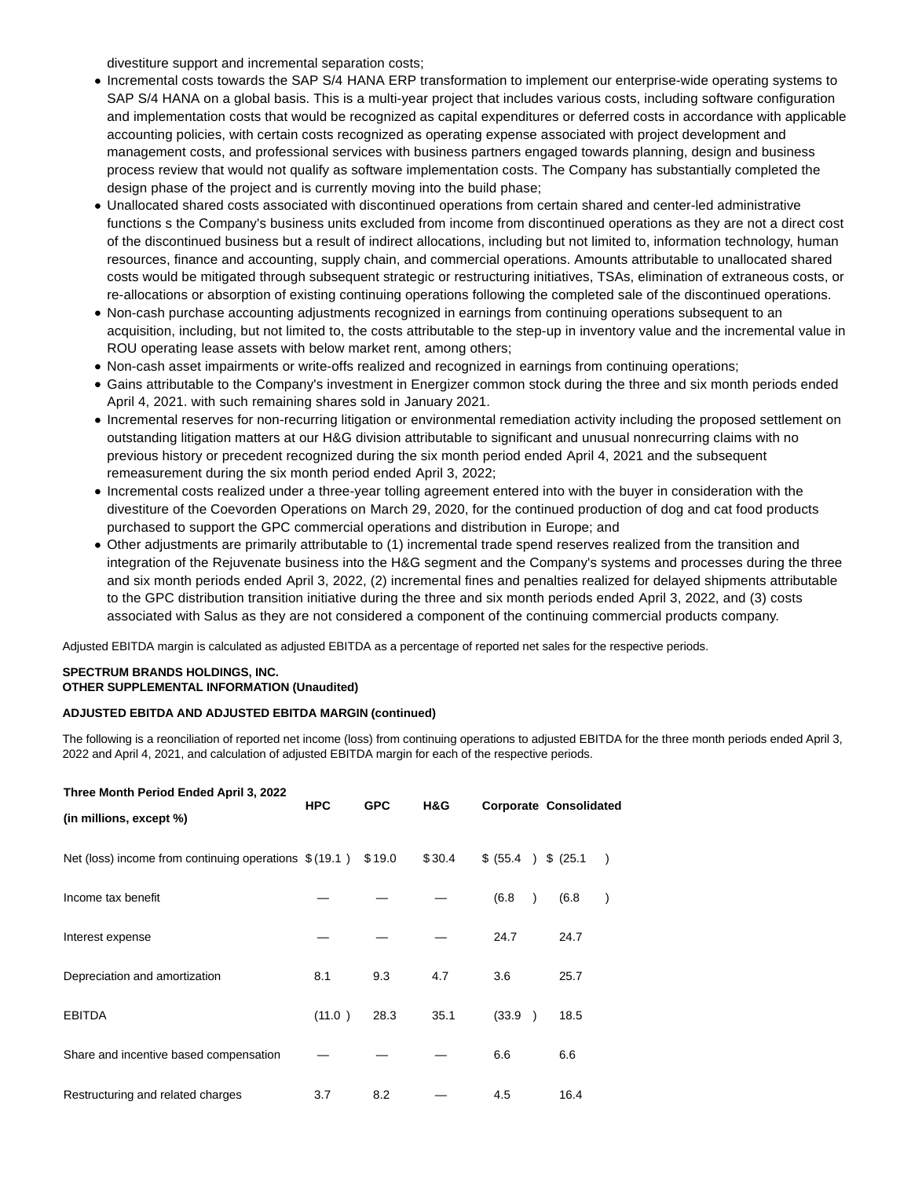divestiture support and incremental separation costs;

- Incremental costs towards the SAP S/4 HANA ERP transformation to implement our enterprise-wide operating systems to  $\bullet$ SAP S/4 HANA on a global basis. This is a multi-year project that includes various costs, including software configuration and implementation costs that would be recognized as capital expenditures or deferred costs in accordance with applicable accounting policies, with certain costs recognized as operating expense associated with project development and management costs, and professional services with business partners engaged towards planning, design and business process review that would not qualify as software implementation costs. The Company has substantially completed the design phase of the project and is currently moving into the build phase;
- Unallocated shared costs associated with discontinued operations from certain shared and center-led administrative functions s the Company's business units excluded from income from discontinued operations as they are not a direct cost of the discontinued business but a result of indirect allocations, including but not limited to, information technology, human resources, finance and accounting, supply chain, and commercial operations. Amounts attributable to unallocated shared costs would be mitigated through subsequent strategic or restructuring initiatives, TSAs, elimination of extraneous costs, or re-allocations or absorption of existing continuing operations following the completed sale of the discontinued operations.
- Non-cash purchase accounting adjustments recognized in earnings from continuing operations subsequent to an acquisition, including, but not limited to, the costs attributable to the step-up in inventory value and the incremental value in ROU operating lease assets with below market rent, among others;
- Non-cash asset impairments or write-offs realized and recognized in earnings from continuing operations;
- Gains attributable to the Company's investment in Energizer common stock during the three and six month periods ended April 4, 2021. with such remaining shares sold in January 2021.
- Incremental reserves for non-recurring litigation or environmental remediation activity including the proposed settlement on outstanding litigation matters at our H&G division attributable to significant and unusual nonrecurring claims with no previous history or precedent recognized during the six month period ended April 4, 2021 and the subsequent remeasurement during the six month period ended April 3, 2022;
- Incremental costs realized under a three-year tolling agreement entered into with the buyer in consideration with the divestiture of the Coevorden Operations on March 29, 2020, for the continued production of dog and cat food products purchased to support the GPC commercial operations and distribution in Europe; and
- Other adjustments are primarily attributable to (1) incremental trade spend reserves realized from the transition and integration of the Rejuvenate business into the H&G segment and the Company's systems and processes during the three and six month periods ended April 3, 2022, (2) incremental fines and penalties realized for delayed shipments attributable to the GPC distribution transition initiative during the three and six month periods ended April 3, 2022, and (3) costs associated with Salus as they are not considered a component of the continuing commercial products company.

Adjusted EBITDA margin is calculated as adjusted EBITDA as a percentage of reported net sales for the respective periods.

## **SPECTRUM BRANDS HOLDINGS, INC. OTHER SUPPLEMENTAL INFORMATION (Unaudited)**

## **ADJUSTED EBITDA AND ADJUSTED EBITDA MARGIN (continued)**

The following is a reonciliation of reported net income (loss) from continuing operations to adjusted EBITDA for the three month periods ended April 3, 2022 and April 4, 2021, and calculation of adjusted EBITDA margin for each of the respective periods.

| Three Month Period Ended April 3, 2022<br>(in millions, except %) | <b>HPC</b> | <b>GPC</b> | H&G    |           | <b>Corporate Consolidated</b> |
|-------------------------------------------------------------------|------------|------------|--------|-----------|-------------------------------|
| Net (loss) income from continuing operations $$(19.1)$            |            | \$19.0     | \$30.4 | \$ (55.4) | $$^{(25.1)}$                  |
| Income tax benefit                                                |            |            |        | (6.8)     | (6.8)                         |
| Interest expense                                                  |            |            |        | 24.7      | 24.7                          |
| Depreciation and amortization                                     | 8.1        | 9.3        | 4.7    | 3.6       | 25.7                          |
| <b>EBITDA</b>                                                     | (11.0)     | 28.3       | 35.1   | (33.9)    | 18.5                          |
| Share and incentive based compensation                            |            |            |        | 6.6       | 6.6                           |
| Restructuring and related charges                                 | 3.7        | 8.2        |        | 4.5       | 16.4                          |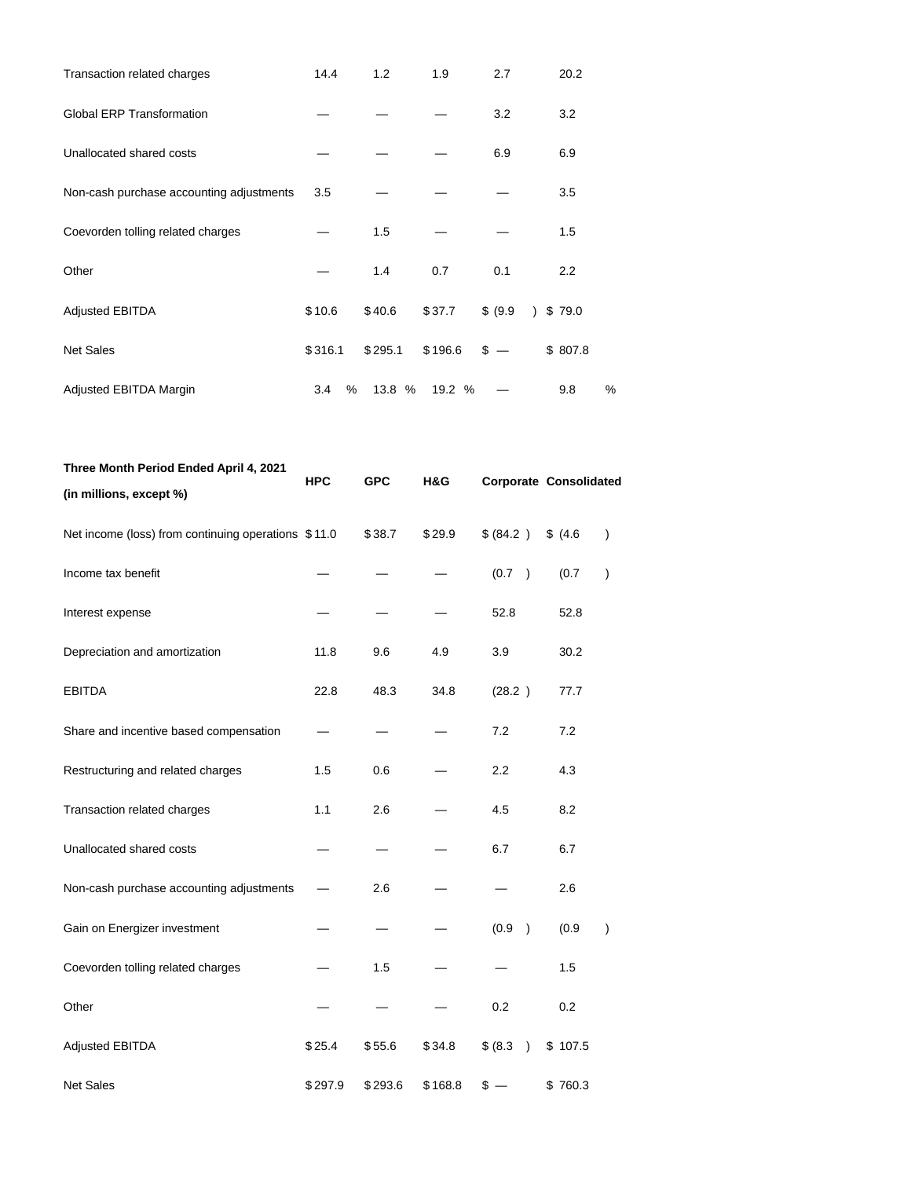| Transaction related charges              | 14.4     | 1.2     | 1.9     | 2.7      | 20.2    |   |
|------------------------------------------|----------|---------|---------|----------|---------|---|
| <b>Global ERP Transformation</b>         |          |         |         | 3.2      | 3.2     |   |
| Unallocated shared costs                 |          |         |         | 6.9      | 6.9     |   |
| Non-cash purchase accounting adjustments | 3.5      |         |         |          | 3.5     |   |
| Coevorden tolling related charges        |          | 1.5     |         |          | 1.5     |   |
| Other                                    |          | 1.4     | 0.7     | 0.1      | 2.2     |   |
| <b>Adjusted EBITDA</b>                   | \$10.6   | \$40.6  | \$37.7  | \$ (9.9) | 3579.0  |   |
| <b>Net Sales</b>                         | \$316.1  | \$295.1 | \$196.6 | $s -$    | \$807.8 |   |
| Adjusted EBITDA Margin                   | 3.4<br>% | 13.8 %  | 19.2 %  |          | 9.8     | % |

| Three Month Period Ended April 4, 2021              | <b>HPC</b> | <b>GPC</b> | H&G     | <b>Corporate Consolidated</b> |          |               |
|-----------------------------------------------------|------------|------------|---------|-------------------------------|----------|---------------|
| (in millions, except %)                             |            |            |         |                               |          |               |
| Net income (loss) from continuing operations \$11.0 |            | \$38.7     | \$29.9  | \$ (84.2)                     | \$ (4.6) | $\lambda$     |
| Income tax benefit                                  |            |            |         | (0.7)                         | (0.7)    | $\mathcal{E}$ |
| Interest expense                                    |            |            |         | 52.8                          | 52.8     |               |
| Depreciation and amortization                       | 11.8       | 9.6        | 4.9     | 3.9                           | 30.2     |               |
| <b>EBITDA</b>                                       | 22.8       | 48.3       | 34.8    | (28.2)                        | 77.7     |               |
| Share and incentive based compensation              |            |            |         | 7.2                           | 7.2      |               |
| Restructuring and related charges                   | 1.5        | 0.6        |         | 2.2                           | 4.3      |               |
| Transaction related charges                         | 1.1        | 2.6        |         | 4.5                           | 8.2      |               |
| Unallocated shared costs                            |            |            |         | 6.7                           | 6.7      |               |
| Non-cash purchase accounting adjustments            |            | 2.6        |         |                               | 2.6      |               |
| Gain on Energizer investment                        |            |            |         | (0.9)<br>$\rightarrow$        | (0.9)    | $\lambda$     |
| Coevorden tolling related charges                   |            | 1.5        |         |                               | 1.5      |               |
| Other                                               |            |            |         | 0.2                           | 0.2      |               |
| Adjusted EBITDA                                     | \$25.4     | \$55.6     | \$34.8  | \$ (8.3)                      | \$107.5  |               |
| <b>Net Sales</b>                                    | \$297.9    | \$293.6    | \$168.8 | $s -$                         | \$760.3  |               |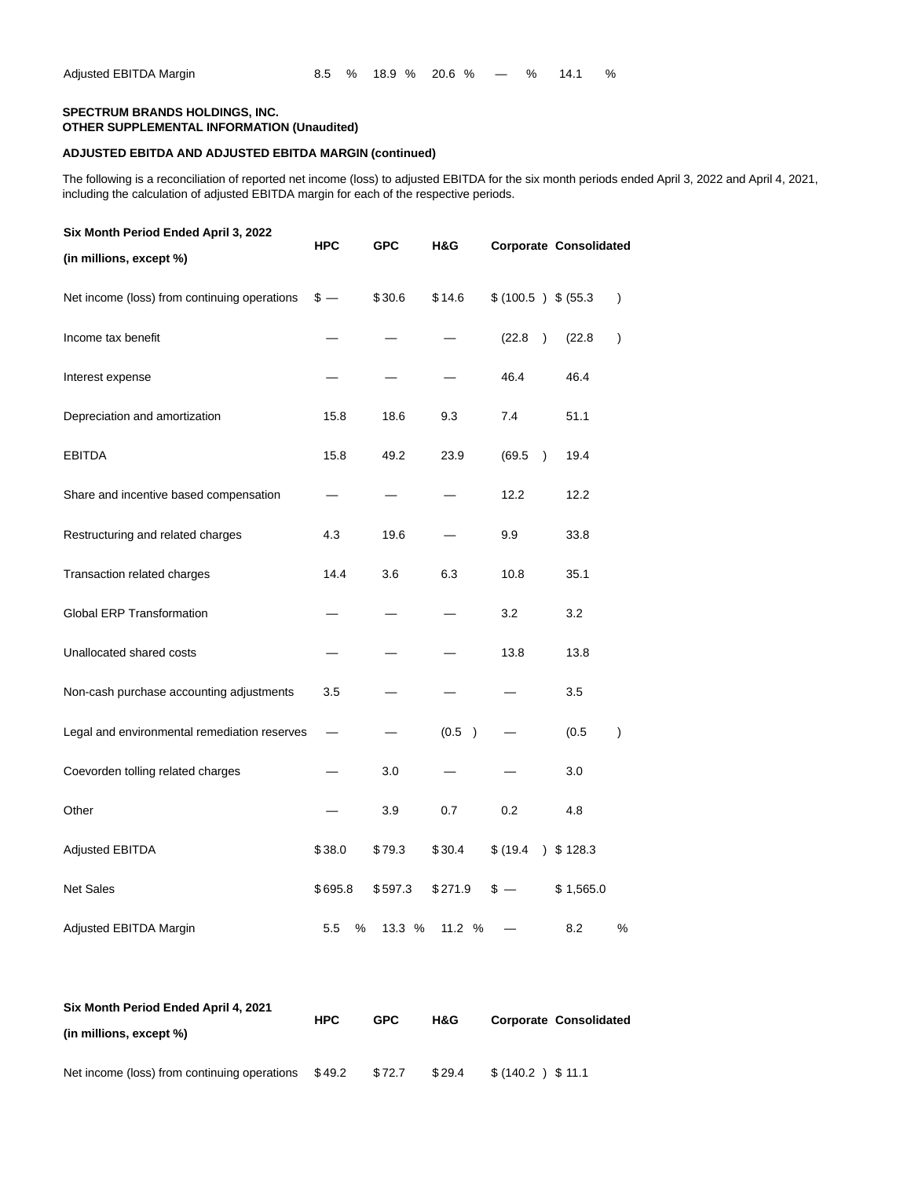# **SPECTRUM BRANDS HOLDINGS, INC. OTHER SUPPLEMENTAL INFORMATION (Unaudited)**

# **ADJUSTED EBITDA AND ADJUSTED EBITDA MARGIN (continued)**

The following is a reconciliation of reported net income (loss) to adjusted EBITDA for the six month periods ended April 3, 2022 and April 4, 2021, including the calculation of adjusted EBITDA margin for each of the respective periods.

| Six Month Period Ended April 3, 2022<br>(in millions, except %) | <b>HPC</b>  | <b>GPC</b> | H&G     | <b>Corporate Consolidated</b> |              |               |
|-----------------------------------------------------------------|-------------|------------|---------|-------------------------------|--------------|---------------|
| Net income (loss) from continuing operations                    | $s -$       | \$30.6     | \$14.6  | \$ (100.5 ) \$ (55.3)         |              | $\lambda$     |
| Income tax benefit                                              |             |            |         | (22.8)<br>$\lambda$           | (22.8)       | $\lambda$     |
| Interest expense                                                |             |            |         | 46.4                          | 46.4         |               |
| Depreciation and amortization                                   | 15.8        | 18.6       | 9.3     | 7.4                           | 51.1         |               |
| <b>EBITDA</b>                                                   | 15.8        | 49.2       | 23.9    | (69.5)<br>$\lambda$           | 19.4         |               |
| Share and incentive based compensation                          |             |            |         | 12.2                          | 12.2         |               |
| Restructuring and related charges                               | 4.3         | 19.6       |         | 9.9                           | 33.8         |               |
| Transaction related charges                                     | 14.4        | 3.6        | 6.3     | 10.8                          | 35.1         |               |
| <b>Global ERP Transformation</b>                                |             |            |         | 3.2                           | 3.2          |               |
| Unallocated shared costs                                        |             |            |         | 13.8                          | 13.8         |               |
| Non-cash purchase accounting adjustments                        | 3.5         |            |         |                               | 3.5          |               |
| Legal and environmental remediation reserves                    |             |            | (0.5)   |                               | (0.5)        | $\mathcal{C}$ |
| Coevorden tolling related charges                               |             | 3.0        |         |                               | 3.0          |               |
| Other                                                           |             | 3.9        | 0.7     | 0.2                           | 4.8          |               |
| <b>Adjusted EBITDA</b>                                          | \$38.0      | \$79.3     | \$30.4  | \$(19.4)                      | $3 \t3128.3$ |               |
| <b>Net Sales</b>                                                | \$695.8     | \$597.3    | \$271.9 | $s -$                         | \$1,565.0    |               |
| Adjusted EBITDA Margin                                          | 5.5<br>$\%$ | 13.3 %     | 11.2 %  |                               | 8.2          | $\%$          |

| Six Month Period Ended April 4, 2021<br>(in millions, except %) | <b>HPC</b> | <b>GPC</b> | H&G    | <b>Corporate Consolidated</b> |  |
|-----------------------------------------------------------------|------------|------------|--------|-------------------------------|--|
| Net income (loss) from continuing operations                    | \$49.2     | \$72.7     | \$29.4 | $$(140.2)$ \$11.1             |  |